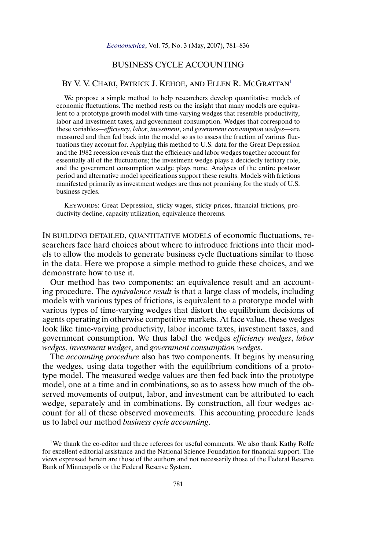# BUSINESS CYCLE ACCOUNTING

# BY V. V. CHARI, PATRICK J. KEHOE, AND ELLEN R. MCGRATTAN<sup>1</sup>

We propose a simple method to help researchers develop quantitative models of economic fluctuations. The method rests on the insight that many models are equivalent to a prototype growth model with time-varying wedges that resemble productivity, labor and investment taxes, and government consumption. Wedges that correspond to these variables—*efficiency*, *labor*, *investment*, and *government consumption wedges*—are measured and then fed back into the model so as to assess the fraction of various fluctuations they account for. Applying this method to U.S. data for the Great Depression and the 1982 recession reveals that the efficiency and labor wedges together account for essentially all of the fluctuations; the investment wedge plays a decidedly tertiary role, and the government consumption wedge plays none. Analyses of the entire postwar period and alternative model specifications support these results. Models with frictions manifested primarily as investment wedges are thus not promising for the study of U.S. business cycles.

KEYWORDS: Great Depression, sticky wages, sticky prices, financial frictions, productivity decline, capacity utilization, equivalence theorems.

IN BUILDING DETAILED, QUANTITATIVE MODELS of economic fluctuations, researchers face hard choices about where to introduce frictions into their models to allow the models to generate business cycle fluctuations similar to those in the data. Here we propose a simple method to guide these choices, and we demonstrate how to use it.

Our method has two components: an equivalence result and an accounting procedure. The *equivalence result* is that a large class of models, including models with various types of frictions, is equivalent to a prototype model with various types of time-varying wedges that distort the equilibrium decisions of agents operating in otherwise competitive markets. At face value, these wedges look like time-varying productivity, labor income taxes, investment taxes, and government consumption. We thus label the wedges *efficiency wedges*, *labor wedges*, *investment wedges*, and *government consumption wedges*.

The *accounting procedure* also has two components. It begins by measuring the wedges, using data together with the equilibrium conditions of a prototype model. The measured wedge values are then fed back into the prototype model, one at a time and in combinations, so as to assess how much of the observed movements of output, labor, and investment can be attributed to each wedge, separately and in combinations. By construction, all four wedges account for all of these observed movements. This accounting procedure leads us to label our method *business cycle accounting*.

<sup>1</sup>We thank the co-editor and three referees for useful comments. We also thank Kathy Rolfe for excellent editorial assistance and the National Science Foundation for financial support. The views expressed herein are those of the authors and not necessarily those of the Federal Reserve Bank of Minneapolis or the Federal Reserve System.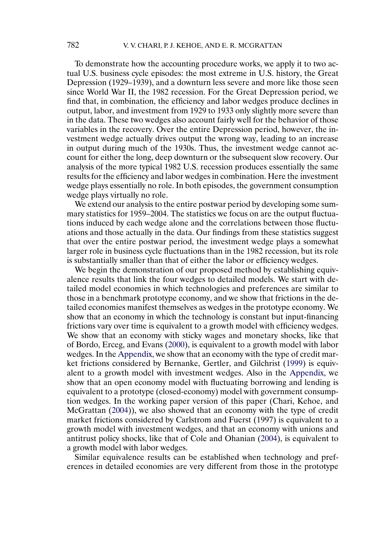<span id="page-1-0"></span>To demonstrate how the accounting procedure works, we apply it to two actual U.S. business cycle episodes: the most extreme in U.S. history, the Great Depression (1929–1939), and a downturn less severe and more like those seen since World War II, the 1982 recession. For the Great Depression period, we find that, in combination, the efficiency and labor wedges produce declines in output, labor, and investment from 1929 to 1933 only slightly more severe than in the data. These two wedges also account fairly well for the behavior of those variables in the recovery. Over the entire Depression period, however, the investment wedge actually drives output the wrong way, leading to an increase in output during much of the 1930s. Thus, the investment wedge cannot account for either the long, deep downturn or the subsequent slow recovery. Our analysis of the more typical 1982 U.S. recession produces essentially the same results for the efficiency and labor wedges in combination. Here the investment wedge plays essentially no role. In both episodes, the government consumption wedge plays virtually no role.

We extend our analysis to the entire postwar period by developing some summary statistics for 1959–2004. The statistics we focus on are the output fluctuations induced by each wedge alone and the correlations between those fluctuations and those actually in the data. Our findings from these statistics suggest that over the entire postwar period, the investment wedge plays a somewhat larger role in business cycle fluctuations than in the 1982 recession, but its role is substantially smaller than that of either the labor or efficiency wedges.

We begin the demonstration of our proposed method by establishing equivalence results that link the four wedges to detailed models. We start with detailed model economies in which technologies and preferences are similar to those in a benchmark prototype economy, and we show that frictions in the detailed economies manifest themselves as wedges in the prototype economy. We show that an economy in which the technology is constant but input-financing frictions vary over time is equivalent to a growth model with efficiency wedges. We show that an economy with sticky wages and monetary shocks, like that of Bordo, Erceg, and Evans [\(2000\)](#page-53-0), is equivalent to a growth model with labor wedges. In the [Appendix,](#page-47-0) we show that an economy with the type of credit market frictions considered by Bernanke, Gertler, and Gilchrist [\(1999\)](#page-53-0) is equivalent to a growth model with investment wedges. Also in the [Appendix,](#page-47-0) we show that an open economy model with fluctuating borrowing and lending is equivalent to a prototype (closed-economy) model with government consumption wedges. In the working paper version of this paper (Chari, Kehoe, and McGrattan [\(2004\)](#page-53-0)), we also showed that an economy with the type of credit market frictions considered by Carlstrom and Fuerst (1997) is equivalent to a growth model with investment wedges, and that an economy with unions and antitrust policy shocks, like that of Cole and Ohanian [\(2004\)](#page-54-0), is equivalent to a growth model with labor wedges.

Similar equivalence results can be established when technology and preferences in detailed economies are very different from those in the prototype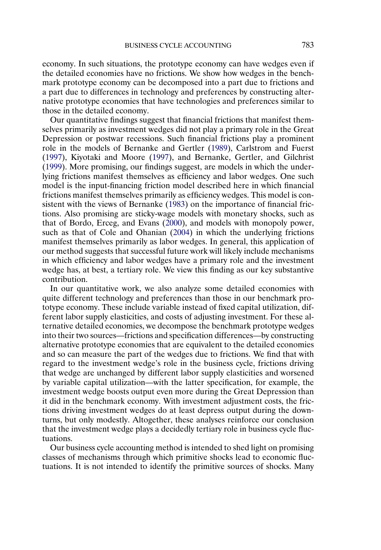<span id="page-2-0"></span>economy. In such situations, the prototype economy can have wedges even if the detailed economies have no frictions. We show how wedges in the benchmark prototype economy can be decomposed into a part due to frictions and a part due to differences in technology and preferences by constructing alternative prototype economies that have technologies and preferences similar to those in the detailed economy.

Our quantitative findings suggest that financial frictions that manifest themselves primarily as investment wedges did not play a primary role in the Great Depression or postwar recessions. Such financial frictions play a prominent role in the models of Bernanke and Gertler [\(1989\)](#page-53-0), Carlstrom and Fuerst [\(1997\)](#page-53-0), Kiyotaki and Moore [\(1997\)](#page-54-0), and Bernanke, Gertler, and Gilchrist [\(1999\)](#page-53-0). More promising, our findings suggest, are models in which the underlying frictions manifest themselves as efficiency and labor wedges. One such model is the input-financing friction model described here in which financial frictions manifest themselves primarily as efficiency wedges. This model is consistent with the views of Bernanke [\(1983\)](#page-53-0) on the importance of financial frictions. Also promising are sticky-wage models with monetary shocks, such as that of Bordo, Erceg, and Evans [\(2000\)](#page-53-0), and models with monopoly power, such as that of Cole and Ohanian [\(2004\)](#page-54-0) in which the underlying frictions manifest themselves primarily as labor wedges. In general, this application of our method suggests that successful future work will likely include mechanisms in which efficiency and labor wedges have a primary role and the investment wedge has, at best, a tertiary role. We view this finding as our key substantive contribution.

In our quantitative work, we also analyze some detailed economies with quite different technology and preferences than those in our benchmark prototype economy. These include variable instead of fixed capital utilization, different labor supply elasticities, and costs of adjusting investment. For these alternative detailed economies, we decompose the benchmark prototype wedges into their two sources—frictions and specification differences—by constructing alternative prototype economies that are equivalent to the detailed economies and so can measure the part of the wedges due to frictions. We find that with regard to the investment wedge's role in the business cycle, frictions driving that wedge are unchanged by different labor supply elasticities and worsened by variable capital utilization—with the latter specification, for example, the investment wedge boosts output even more during the Great Depression than it did in the benchmark economy. With investment adjustment costs, the frictions driving investment wedges do at least depress output during the downturns, but only modestly. Altogether, these analyses reinforce our conclusion that the investment wedge plays a decidedly tertiary role in business cycle fluctuations.

Our business cycle accounting method is intended to shed light on promising classes of mechanisms through which primitive shocks lead to economic fluctuations. It is not intended to identify the primitive sources of shocks. Many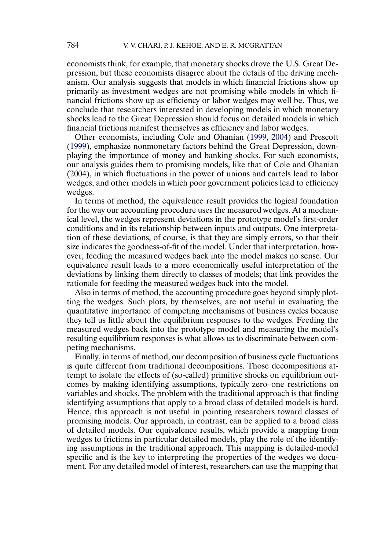<span id="page-3-0"></span>economists think, for example, that monetary shocks drove the U.S. Great Depression, but these economists disagree about the details of the driving mechanism. Our analysis suggests that models in which financial frictions show up primarily as investment wedges are not promising while models in which financial frictions show up as efficiency or labor wedges may well be. Thus, we conclude that researchers interested in developing models in which monetary shocks lead to the Great Depression should focus on detailed models in which financial frictions manifest themselves as efficiency and labor wedges.

Other economists, including Cole and Ohanian [\(1999,](#page-54-0) [2004\)](#page-54-0) and Prescott [\(1999\)](#page-54-0), emphasize nonmonetary factors behind the Great Depression, downplaying the importance of money and banking shocks. For such economists, our analysis guides them to promising models, like that of Cole and Ohanian (2004), in which fluctuations in the power of unions and cartels lead to labor wedges, and other models in which poor government policies lead to efficiency wedges.

In terms of method, the equivalence result provides the logical foundation for the way our accounting procedure uses the measured wedges. At a mechanical level, the wedges represent deviations in the prototype model's first-order conditions and in its relationship between inputs and outputs. One interpretation of these deviations, of course, is that they are simply errors, so that their size indicates the goodness-of-fit of the model. Under that interpretation, however, feeding the measured wedges back into the model makes no sense. Our equivalence result leads to a more economically useful interpretation of the deviations by linking them directly to classes of models; that link provides the rationale for feeding the measured wedges back into the model.

Also in terms of method, the accounting procedure goes beyond simply plotting the wedges. Such plots, by themselves, are not useful in evaluating the quantitative importance of competing mechanisms of business cycles because they tell us little about the equilibrium responses to the wedges. Feeding the measured wedges back into the prototype model and measuring the model's resulting equilibrium responses is what allows us to discriminate between competing mechanisms.

Finally, in terms of method, our decomposition of business cycle fluctuations is quite different from traditional decompositions. Those decompositions attempt to isolate the effects of (so-called) primitive shocks on equilibrium outcomes by making identifying assumptions, typically zero–one restrictions on variables and shocks. The problem with the traditional approach is that finding identifying assumptions that apply to a broad class of detailed models is hard. Hence, this approach is not useful in pointing researchers toward classes of promising models. Our approach, in contrast, can be applied to a broad class of detailed models. Our equivalence results, which provide a mapping from wedges to frictions in particular detailed models, play the role of the identifying assumptions in the traditional approach. This mapping is detailed-model specific and is the key to interpreting the properties of the wedges we document. For any detailed model of interest, researchers can use the mapping that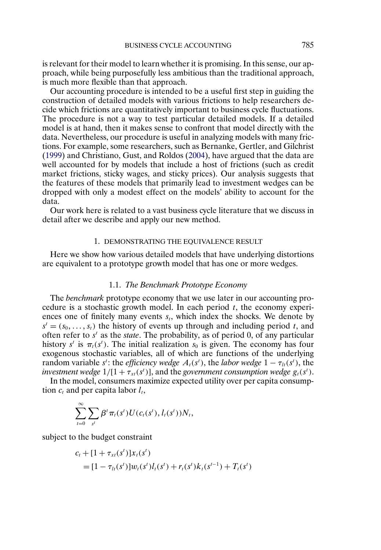<span id="page-4-0"></span>is relevant for their model to learn whether it is promising. In this sense, our approach, while being purposefully less ambitious than the traditional approach, is much more flexible than that approach.

Our accounting procedure is intended to be a useful first step in guiding the construction of detailed models with various frictions to help researchers decide which frictions are quantitatively important to business cycle fluctuations. The procedure is not a way to test particular detailed models. If a detailed model is at hand, then it makes sense to confront that model directly with the data. Nevertheless, our procedure is useful in analyzing models with many frictions. For example, some researchers, such as Bernanke, Gertler, and Gilchrist [\(1999\)](#page-53-0) and Christiano, Gust, and Roldos [\(2004\)](#page-53-0), have argued that the data are well accounted for by models that include a host of frictions (such as credit market frictions, sticky wages, and sticky prices). Our analysis suggests that the features of these models that primarily lead to investment wedges can be dropped with only a modest effect on the models' ability to account for the data.

Our work here is related to a vast business cycle literature that we discuss in detail after we describe and apply our new method.

#### 1. DEMONSTRATING THE EQUIVALENCE RESULT

Here we show how various detailed models that have underlying distortions are equivalent to a prototype growth model that has one or more wedges.

#### 1.1. *The Benchmark Prototype Economy*

The *benchmark* prototype economy that we use later in our accounting procedure is a stochastic growth model. In each period  $t$ , the economy experiences one of finitely many events  $s_t$ , which index the shocks. We denote by  $s^t = (s_0, \ldots, s_t)$  the history of events up through and including period t, and often refer to  $s<sup>t</sup>$  as the *state*. The probability, as of period 0, of any particular history  $s^t$  is  $\pi_t(s^t)$ . The initial realization  $s_0$  is given. The economy has four exogenous stochastic variables, all of which are functions of the underlying random variable  $s^t$ : the *efficiency wedge*  $A_t(s^t)$ , the *labor wedge*  $1 - \tau_{lt}(s^t)$ , the *investment wedge*  $1/[1 + \tau_{xt}(s^t)]$ , and the *government consumption wedge*  $g_t(s^t)$ .

In the model, consumers maximize expected utility over per capita consumption  $c_t$  and per capita labor  $l_t$ ,

$$
\sum_{t=0}^{\infty}\sum_{s^t}\beta^t\pi_t(s^t)U(c_t(s^t),l_t(s^t))N_t,
$$

subject to the budget constraint

$$
c_t + [1 + \tau_{xt}(s^t)]x_t(s^t)
$$
  
=  $[1 - \tau_{tt}(s^t)]w_t(s^t)I_t(s^t) + r_t(s^t)k_t(s^{t-1}) + T_t(s^t)$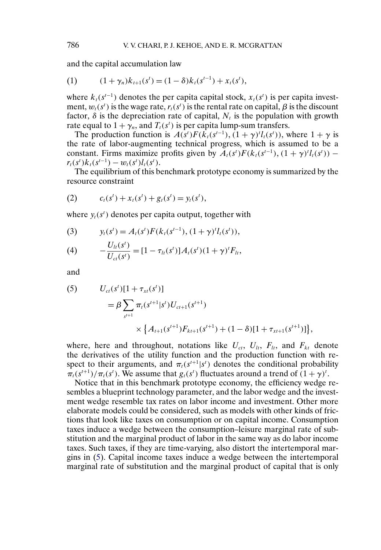and the capital accumulation law

(1) 
$$
(1 + \gamma_n)k_{t+1}(s^t) = (1 - \delta)k_t(s^{t-1}) + x_t(s^t),
$$

where  $k_t(s^{t-1})$  denotes the per capita capital stock,  $x_t(s^t)$  is per capita investment,  $w_t(s^t)$  is the wage rate,  $r_t(s^t)$  is the rental rate on capital,  $\beta$  is the discount factor,  $\delta$  is the depreciation rate of capital,  $N_t$  is the population with growth rate equal to  $1 + \gamma_n$ , and  $T_t(s^t)$  is per capita lump-sum transfers.

The production function is  $A(s^t)F(k_t(s^{t-1}), (1+\gamma)^t l_t(s^t))$ , where  $1+\gamma$  is the rate of labor-augmenting technical progress, which is assumed to be a constant. Firms maximize profits given by  $A_t(s^t)F(k_t(s^{t-1}), (1+\gamma)^t l_t(s^t))$  –  $r_t(s^t)k_t(s^{t-1}) - w_t(s^t)l_t(s^t).$ 

The equilibrium of this benchmark prototype economy is summarized by the resource constraint

(2) 
$$
c_t(s^t) + x_t(s^t) + g_t(s^t) = y_t(s^t),
$$

where  $y_t(s^t)$  denotes per capita output, together with

(3) 
$$
y_t(s^t) = A_t(s^t)F(k_t(s^{t-1}), (1+\gamma)^t l_t(s^t)),
$$

(4) 
$$
-\frac{U_{lt}(s^t)}{U_{ct}(s^t)}=[1-\tau_{lt}(s^t)]A_t(s^t)(1+\gamma)^tF_{lt},
$$

and

(5) 
$$
U_{ct}(s^{t})[1 + \tau_{xt}(s^{t})]
$$
  
\n
$$
= \beta \sum_{s^{t+1}} \pi_t(s^{t+1}|s^{t}) U_{ct+1}(s^{t+1})
$$
  
\n
$$
\times \{A_{t+1}(s^{t+1}) F_{kt+1}(s^{t+1}) + (1 - \delta)[1 + \tau_{xt+1}(s^{t+1})]\},
$$

where, here and throughout, notations like  $U_{ct}$ ,  $U_{tt}$ ,  $F_{tt}$ , and  $F_{kt}$  denote the derivatives of the utility function and the production function with respect to their arguments, and  $\pi_t(s^{t+1}|s^t)$  denotes the conditional probability  $\overline{\pi}_t(s^{t+1})/\pi_t(s^t)$ . We assume that  $g_t(s^t)$  fluctuates around a trend of  $(1+\gamma)^t$ .

Notice that in this benchmark prototype economy, the efficiency wedge resembles a blueprint technology parameter, and the labor wedge and the investment wedge resemble tax rates on labor income and investment. Other more elaborate models could be considered, such as models with other kinds of frictions that look like taxes on consumption or on capital income. Consumption taxes induce a wedge between the consumption–leisure marginal rate of substitution and the marginal product of labor in the same way as do labor income taxes. Such taxes, if they are time-varying, also distort the intertemporal margins in (5). Capital income taxes induce a wedge between the intertemporal marginal rate of substitution and the marginal product of capital that is only

<span id="page-5-0"></span>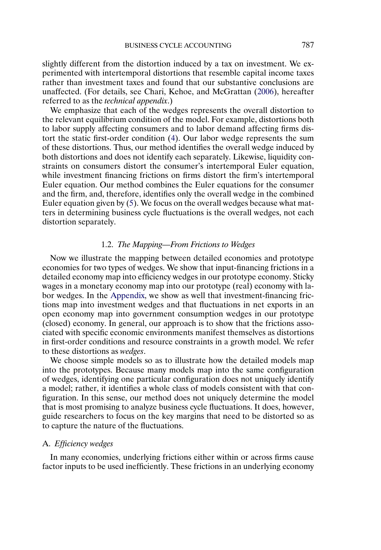<span id="page-6-0"></span>slightly different from the distortion induced by a tax on investment. We experimented with intertemporal distortions that resemble capital income taxes rather than investment taxes and found that our substantive conclusions are unaffected. (For details, see Chari, Kehoe, and McGrattan [\(2006\)](#page-53-0), hereafter referred to as the *technical appendix*.)

We emphasize that each of the wedges represents the overall distortion to the relevant equilibrium condition of the model. For example, distortions both to labor supply affecting consumers and to labor demand affecting firms distort the static first-order condition [\(4\)](#page-5-0). Our labor wedge represents the sum of these distortions. Thus, our method identifies the overall wedge induced by both distortions and does not identify each separately. Likewise, liquidity constraints on consumers distort the consumer's intertemporal Euler equation, while investment financing frictions on firms distort the firm's intertemporal Euler equation. Our method combines the Euler equations for the consumer and the firm, and, therefore, identifies only the overall wedge in the combined Euler equation given by [\(5\)](#page-5-0). We focus on the overall wedges because what matters in determining business cycle fluctuations is the overall wedges, not each distortion separately.

## 1.2. *The Mapping—From Frictions to Wedges*

Now we illustrate the mapping between detailed economies and prototype economies for two types of wedges. We show that input-financing frictions in a detailed economy map into efficiency wedges in our prototype economy. Sticky wages in a monetary economy map into our prototype (real) economy with labor wedges. In the [Appendix,](#page-47-0) we show as well that investment-financing frictions map into investment wedges and that fluctuations in net exports in an open economy map into government consumption wedges in our prototype (closed) economy. In general, our approach is to show that the frictions associated with specific economic environments manifest themselves as distortions in first-order conditions and resource constraints in a growth model. We refer to these distortions as *wedges*.

We choose simple models so as to illustrate how the detailed models map into the prototypes. Because many models map into the same configuration of wedges, identifying one particular configuration does not uniquely identify a model; rather, it identifies a whole class of models consistent with that configuration. In this sense, our method does not uniquely determine the model that is most promising to analyze business cycle fluctuations. It does, however, guide researchers to focus on the key margins that need to be distorted so as to capture the nature of the fluctuations.

# A. *Efficiency wedges*

In many economies, underlying frictions either within or across firms cause factor inputs to be used inefficiently. These frictions in an underlying economy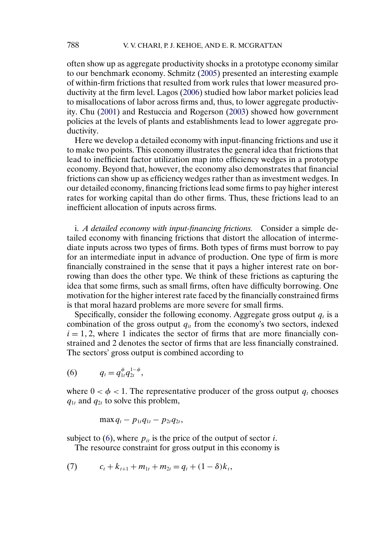often show up as aggregate productivity shocks in a prototype economy similar to our benchmark economy. Schmitz [\(2005\)](#page-55-0) presented an interesting example of within-firm frictions that resulted from work rules that lower measured productivity at the firm level. Lagos [\(2006\)](#page-54-0) studied how labor market policies lead to misallocations of labor across firms and, thus, to lower aggregate productivity. Chu [\(2001\)](#page-53-0) and Restuccia and Rogerson [\(2003\)](#page-54-0) showed how government policies at the levels of plants and establishments lead to lower aggregate productivity.

Here we develop a detailed economy with input-financing frictions and use it to make two points. This economy illustrates the general idea that frictions that lead to inefficient factor utilization map into efficiency wedges in a prototype economy. Beyond that, however, the economy also demonstrates that financial frictions can show up as efficiency wedges rather than as investment wedges. In our detailed economy, financing frictions lead some firms to pay higher interest rates for working capital than do other firms. Thus, these frictions lead to an inefficient allocation of inputs across firms.

i. *A detailed economy with input-financing frictions.* Consider a simple detailed economy with financing frictions that distort the allocation of intermediate inputs across two types of firms. Both types of firms must borrow to pay for an intermediate input in advance of production. One type of firm is more financially constrained in the sense that it pays a higher interest rate on borrowing than does the other type. We think of these frictions as capturing the idea that some firms, such as small firms, often have difficulty borrowing. One motivation for the higher interest rate faced by the financially constrained firms is that moral hazard problems are more severe for small firms.

Specifically, consider the following economy. Aggregate gross output  $q_t$  is a combination of the gross output  $q_{it}$  from the economy's two sectors, indexed  $i = 1, 2$ , where 1 indicates the sector of firms that are more financially constrained and 2 denotes the sector of firms that are less financially constrained. The sectors' gross output is combined according to

(6) 
$$
q_t = q_{1t}^{\phi} q_{2t}^{1-\phi},
$$

where  $0 < \phi < 1$ . The representative producer of the gross output  $q_t$  chooses  $q_{1t}$  and  $q_{2t}$  to solve this problem,

$$
\max q_t - p_{1t}q_{1t} - p_{2t}q_{2t},
$$

subject to (6), where  $p_{it}$  is the price of the output of sector *i*.

The resource constraint for gross output in this economy is

(7) 
$$
c_t + k_{t+1} + m_{1t} + m_{2t} = q_t + (1 - \delta)k_t,
$$

<span id="page-7-0"></span>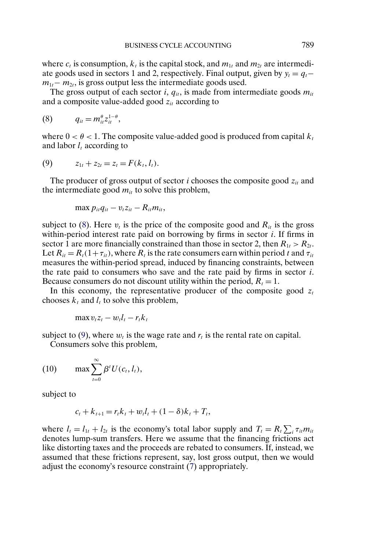where  $c_t$  is consumption,  $k_t$  is the capital stock, and  $m_{1t}$  and  $m_{2t}$  are intermediate goods used in sectors 1 and 2, respectively. Final output, given by  $y_t = q_t$  $m_{1t}-m_{2t}$ , is gross output less the intermediate goods used.

The gross output of each sector i,  $q_{it}$ , is made from intermediate goods  $m_{it}$ and a composite value-added good  $z_{it}$  according to

$$
(8) \tq_{it} = m_{it}^{\theta} z_{it}^{1-\theta},
$$

where  $0 < \theta < 1$ . The composite value-added good is produced from capital  $k_t$ and labor  $l_t$  according to

(9) 
$$
z_{1t} + z_{2t} = z_t = F(k_t, l_t).
$$

The producer of gross output of sector  $i$  chooses the composite good  $z_{it}$  and the intermediate good  $m_{it}$  to solve this problem,

$$
\max p_{it}q_{it} - v_t z_{it} - R_{it}m_{it},
$$

subject to (8). Here  $v_t$  is the price of the composite good and  $R_{it}$  is the gross within-period interest rate paid on borrowing by firms in sector *i*. If firms in sector 1 are more financially constrained than those in sector 2, then  $R_{1t} > R_{2t}$ . Let  $R_{it} = R_t(1+\tau_{it})$ , where  $R_t$  is the rate consumers earn within period t and  $\tau_{it}$ measures the within-period spread, induced by financing constraints, between the rate paid to consumers who save and the rate paid by firms in sector i. Because consumers do not discount utility within the period,  $R_t = 1$ .

In this economy, the representative producer of the composite good  $z_t$ chooses  $k_t$  and  $l_t$  to solve this problem,

$$
\max v_t z_t - w_t l_t - r_t k_t
$$

subject to (9), where  $w_t$  is the wage rate and  $r_t$  is the rental rate on capital.

Consumers solve this problem,

(10) 
$$
\max \sum_{t=0}^{\infty} \beta^t U(c_t, l_t),
$$

subject to

$$
c_t + k_{t+1} = r_t k_t + w_t l_t + (1 - \delta) k_t + T_t,
$$

where  $l_t = l_{1t} + l_{2t}$  is the economy's total labor supply and  $T_t = R_t \sum_i \tau_{it} m_{it}$ denotes lump-sum transfers. Here we assume that the financing frictions act like distorting taxes and the proceeds are rebated to consumers. If, instead, we assumed that these frictions represent, say, lost gross output, then we would adjust the economy's resource constraint [\(7\)](#page-7-0) appropriately.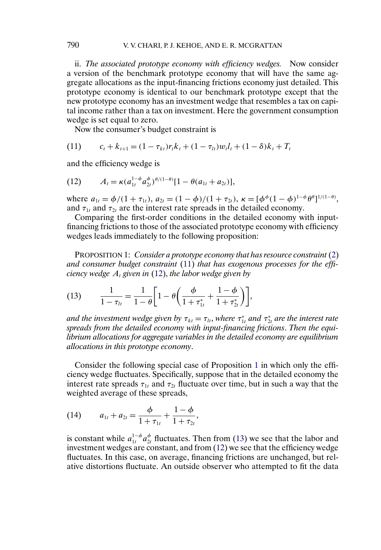ii. *The associated prototype economy with efficiency wedges.* Now consider a version of the benchmark prototype economy that will have the same aggregate allocations as the input-financing frictions economy just detailed. This prototype economy is identical to our benchmark prototype except that the new prototype economy has an investment wedge that resembles a tax on capital income rather than a tax on investment. Here the government consumption wedge is set equal to zero.

Now the consumer's budget constraint is

(11) 
$$
c_t + k_{t+1} = (1 - \tau_{kt})r_t k_t + (1 - \tau_{lt})w_t l_t + (1 - \delta)k_t + T_t
$$

and the efficiency wedge is

(12) 
$$
A_t = \kappa (a_{1t}^{1-\phi} a_{2t}^{\phi})^{\theta/(1-\theta)} [1 - \theta (a_{1t} + a_{2t})],
$$

where  $a_{1t} = \phi/(1 + \tau_{1t}), a_{2t} = (1 - \phi)/(1 + \tau_{2t}), \kappa = [\phi^{\phi}(1 - \phi)^{1 - \phi}\theta^{\theta}]^{1/(1 - \theta)},$ and  $\tau_{1t}$  and  $\tau_{2t}$  are the interest rate spreads in the detailed economy.

Comparing the first-order conditions in the detailed economy with inputfinancing frictions to those of the associated prototype economy with efficiency wedges leads immediately to the following proposition:

PROPOSITION 1: *Consider a prototype economy that has resource constraint*[\(2\)](#page-5-0) *and consumer budget constraint* (11) *that has exogenous processes for the efficiency wedge*  $A_t$  *given in* (12), *the labor wedge given by* 

(13) 
$$
\frac{1}{1-\tau_{lt}} = \frac{1}{1-\theta} \bigg[ 1 - \theta \bigg( \frac{\phi}{1+\tau_{1t}^*} + \frac{1-\phi}{1+\tau_{2t}^*} \bigg) \bigg],
$$

*and the investment wedge given by*  $\tau_{kt} = \tau_{lt}$ , *where*  $\tau_{1t}^*$  *and*  $\tau_{2t}^*$  *are the interest rate spreads from the detailed economy with input-financing frictions*. *Then the equilibrium allocations for aggregate variables in the detailed economy are equilibrium allocations in this prototype economy*.

Consider the following special case of Proposition 1 in which only the efficiency wedge fluctuates. Specifically, suppose that in the detailed economy the interest rate spreads  $\tau_{1t}$  and  $\tau_{2t}$  fluctuate over time, but in such a way that the weighted average of these spreads,

(14) 
$$
a_{1t} + a_{2t} = \frac{\phi}{1 + \tau_{1t}} + \frac{1 - \phi}{1 + \tau_{2t}},
$$

is constant while  $a_{1t}^{1-\phi}a_{2t}^{\phi}$  fluctuates. Then from (13) we see that the labor and investment wedges are constant, and from (12) we see that the efficiency wedge fluctuates. In this case, on average, financing frictions are unchanged, but relative distortions fluctuate. An outside observer who attempted to fit the data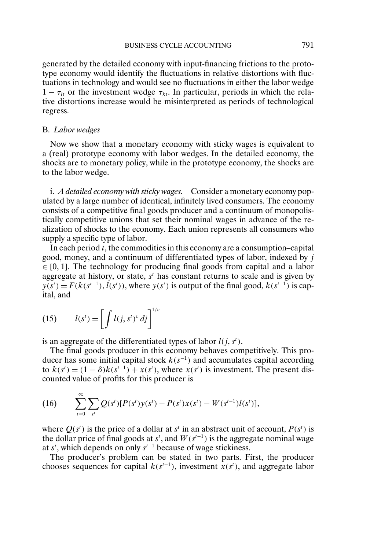<span id="page-10-0"></span>generated by the detailed economy with input-financing frictions to the prototype economy would identify the fluctuations in relative distortions with fluctuations in technology and would see no fluctuations in either the labor wedge  $1 - \tau_{lt}$  or the investment wedge  $\tau_{kt}$ . In particular, periods in which the relative distortions increase would be misinterpreted as periods of technological regress.

#### B. *Labor wedges*

Now we show that a monetary economy with sticky wages is equivalent to a (real) prototype economy with labor wedges. In the detailed economy, the shocks are to monetary policy, while in the prototype economy, the shocks are to the labor wedge.

i. *A detailed economy with sticky wages.* Consider a monetary economy populated by a large number of identical, infinitely lived consumers. The economy consists of a competitive final goods producer and a continuum of monopolistically competitive unions that set their nominal wages in advance of the realization of shocks to the economy. Each union represents all consumers who supply a specific type of labor.

In each period  $t$ , the commodities in this economy are a consumption–capital good, money, and a continuum of differentiated types of labor, indexed by j  $\in [0, 1]$ . The technology for producing final goods from capital and a labor aggregate at history, or state,  $s<sup>t</sup>$  has constant returns to scale and is given by  $y(s^t) = F(k(s^{t-1}), l(s^t))$ , where  $y(s^t)$  is output of the final good,  $k(s^{t-1})$  is capital, and

(15) 
$$
l(s^t) = \left[ \int l(j, s^t)^v \, dj \right]^{1/v}
$$

is an aggregate of the differentiated types of labor  $l(j, s<sup>t</sup>)$ .

The final goods producer in this economy behaves competitively. This producer has some initial capital stock  $k(s^{-1})$  and accumulates capital according to  $k(s^t) = (1 - \delta)k(s^{t-1}) + x(s^t)$ , where  $x(s^t)$  is investment. The present discounted value of profits for this producer is

(16) 
$$
\sum_{t=0}^{\infty} \sum_{s^t} Q(s^t) [P(s^t) y(s^t) - P(s^t) x(s^t) - W(s^{t-1}) l(s^t)],
$$

where  $Q(s^t)$  is the price of a dollar at  $s^t$  in an abstract unit of account,  $P(s^t)$  is the dollar price of final goods at  $s<sup>t</sup>$ , and  $W(s<sup>t-1</sup>)$  is the aggregate nominal wage at  $s<sup>t</sup>$ , which depends on only  $s<sup>t-1</sup>$  because of wage stickiness.

The producer's problem can be stated in two parts. First, the producer chooses sequences for capital  $k(s^{t-1})$ , investment  $x(s^t)$ , and aggregate labor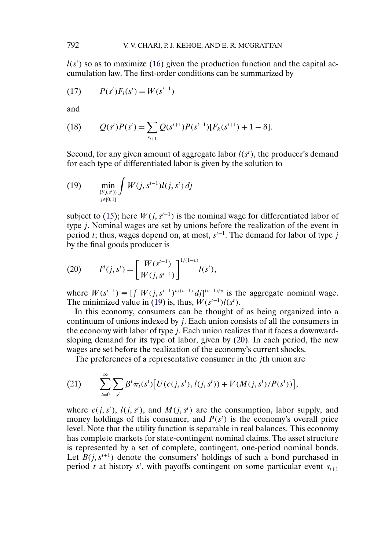<span id="page-11-0"></span> $l(s<sup>t</sup>)$  so as to maximize [\(16\)](#page-10-0) given the production function and the capital accumulation law. The first-order conditions can be summarized by

(17) 
$$
P(s^t)F_l(s^t) = W(s^{t-1})
$$

and

(18) 
$$
Q(s^{t})P(s^{t}) = \sum_{s_{t+1}} Q(s^{t+1})P(s^{t+1})[F_{k}(s^{t+1})+1-\delta].
$$

Second, for any given amount of aggregate labor  $l(s<sup>t</sup>)$ , the producer's demand for each type of differentiated labor is given by the solution to

(19) 
$$
\min_{\{l(j,s^t)\} \atop j \in [0,1]} \int W(j,s^{t-1}) l(j,s^t) \, dj
$$

subject to [\(15\)](#page-10-0); here  $W(j, s^{t-1})$  is the nominal wage for differentiated labor of type j. Nominal wages are set by unions before the realization of the event in period t; thus, wages depend on, at most,  $s^{t-1}$ . The demand for labor of type j by the final goods producer is

(20) 
$$
l^{d}(j,s^{t}) = \left[\frac{W(s^{t-1})}{W(j,s^{t-1})}\right]^{1/(1-v)} l(s^{t}),
$$

where  $W(s^{t-1}) \equiv \left[ \int W(j, s^{t-1})^{\nu/(v-1)} \, dj \right]^{(\nu-1)/\nu}$  is the aggregate nominal wage. The minimized value in (19) is, thus,  $W(s^{t-1})l(s^t)$ .

In this economy, consumers can be thought of as being organized into a continuum of unions indexed by j. Each union consists of all the consumers in the economy with labor of type j. Each union realizes that it faces a downwardsloping demand for its type of labor, given by (20). In each period, the new wages are set before the realization of the economy's current shocks.

The preferences of a representative consumer in the jth union are

(21) 
$$
\sum_{t=0}^{\infty} \sum_{s^t} \beta^t \pi_t(s^t) \big[ U(c(j, s^t), l(j, s^t)) + V(M(j, s^t)/P(s^t)) \big],
$$

where  $c(j, s<sup>t</sup>), l(j, s<sup>t</sup>),$  and  $M(j, s<sup>t</sup>)$  are the consumption, labor supply, and money holdings of this consumer, and  $P(s^t)$  is the economy's overall price level. Note that the utility function is separable in real balances. This economy has complete markets for state-contingent nominal claims. The asset structure is represented by a set of complete, contingent, one-period nominal bonds. Let  $B(j, s^{t+1})$  denote the consumers' holdings of such a bond purchased in period t at history  $s<sup>t</sup>$ , with payoffs contingent on some particular event  $s<sub>t+1</sub>$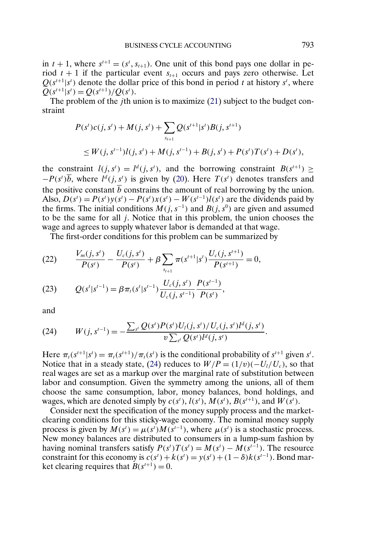<span id="page-12-0"></span>in  $t + 1$ , where  $s^{t+1} = (s^t, s_{t+1})$ . One unit of this bond pays one dollar in period  $t + 1$  if the particular event  $s_{t+1}$  occurs and pays zero otherwise. Let  $Q(s^{t+1}|s^t)$  denote the dollar price of this bond in period t at history  $s^t$ , where  $Q(s^{t+1}|s^t) = Q(s^{t+1})/Q(s^t).$ 

The problem of the jth union is to maximize [\(21\)](#page-11-0) subject to the budget constraint

$$
P(st)c(j, st) + M(j, st) + \sum_{s_{t+1}} Q(st+1|st)B(j, st+1)
$$
  
 
$$
\leq W(j, st-1)l(j, st) + M(j, st-1) + B(j, st) + P(st)T(st) + D(st),
$$

the constraint  $l(j, s^t) = l^d(j, s^t)$ , and the borrowing constraint  $B(s^{t+1}) \ge$  $-P(s<sup>t</sup>)b$ , where  $l<sup>d</sup>(j, s<sup>t</sup>)$  is given by [\(20\)](#page-11-0). Here  $T(s<sup>t</sup>)$  denotes transfers and the positive constant  $\overline{b}$  constrains the amount of real borrowing by the union. Also,  $D(s^t) = P(s^t)y(s^t) - P(s^t)x(s^t) - W(s^{t-1})l(s^t)$  are the dividends paid by the firms. The initial conditions  $M(j, s^{-1})$  and  $B(j, s^{0})$  are given and assumed to be the same for all j. Notice that in this problem, the union chooses the wage and agrees to supply whatever labor is demanded at that wage.

The first-order conditions for this problem can be summarized by

(22) 
$$
\frac{V_m(j,s^t)}{P(s^t)} - \frac{U_c(j,s^t)}{P(s^t)} + \beta \sum_{s_{t+1}} \pi(s^{t+1}|s^t) \frac{U_c(j,s^{t+1})}{P(s^{t+1})} = 0,
$$

(23) 
$$
Q(s^t|s^{t-1}) = \beta \pi_t(s^t|s^{t-1}) \frac{U_c(j,s^t)}{U_c(j,s^{t-1})} \frac{P(s^{t-1})}{P(s^t)},
$$

and

(24) 
$$
W(j, s^{t-1}) = -\frac{\sum_{s'} Q(s')P(s')U_l(j, s')/U_c(j, s')I^d(j, s')}{v \sum_{s'} Q(s')I^d(j, s')}.
$$

Here  $\pi_t(s^{t+1}|s^t) = \pi_t(s^{t+1})/\pi_t(s^t)$  is the conditional probability of  $s^{t+1}$  given  $s^t$ . Notice that in a steady state, (24) reduces to  $W/P = (1/v)(-U_l/U_c)$ , so that real wages are set as a markup over the marginal rate of substitution between labor and consumption. Given the symmetry among the unions, all of them choose the same consumption, labor, money balances, bond holdings, and wages, which are denoted simply by  $c(s^t)$ ,  $l(s^t)$ ,  $M(s^t)$ ,  $B(s^{t+1})$ , and  $W(s^t)$ .

Consider next the specification of the money supply process and the marketclearing conditions for this sticky-wage economy. The nominal money supply process is given by  $M(s^t) = \mu(s^t)M(s^{t-1})$ , where  $\mu(s^t)$  is a stochastic process. New money balances are distributed to consumers in a lump-sum fashion by having nominal transfers satisfy  $P(s^t)T(s^t) = M(s^t) - M(s^{t-1})$ . The resource constraint for this economy is  $c(s^t) + k(s^t) = y(s^t) + (1 - \delta)k(s^{t-1})$ . Bond market clearing requires that  $B(s^{t+1}) = 0$ .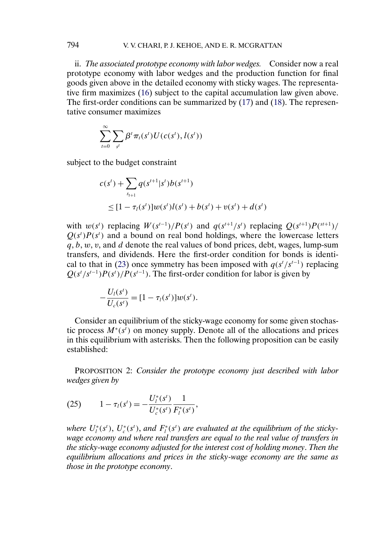<span id="page-13-0"></span>ii. *The associated prototype economy with labor wedges.* Consider now a real prototype economy with labor wedges and the production function for final goods given above in the detailed economy with sticky wages. The representative firm maximizes [\(16\)](#page-10-0) subject to the capital accumulation law given above. The first-order conditions can be summarized by [\(17\)](#page-11-0) and [\(18\)](#page-11-0). The representative consumer maximizes

$$
\sum_{t=0}^{\infty}\sum_{s^t}\beta^t\pi_t(s^t)U(c(s^t),l(s^t))
$$

subject to the budget constraint

$$
c(s^{t}) + \sum_{s_{t+1}} q(s^{t+1}|s^{t})b(s^{t+1})
$$
  
\n
$$
\leq [1 - \tau_t(s^{t})]w(s^{t})l(s^{t}) + b(s^{t}) + v(s^{t}) + d(s^{t})
$$

with  $w(s^t)$  replacing  $W(s^{t-1})/P(s^t)$  and  $q(s^{t+1}/s^t)$  replacing  $Q(s^{t+1})P(s^{t+1})/P(s^t)$  $Q(s^{t})P(s^{t})$  and a bound on real bond holdings, where the lowercase letters  $q, b, w, v$ , and d denote the real values of bond prices, debt, wages, lump-sum transfers, and dividends. Here the first-order condition for bonds is identi-cal to that in [\(23\)](#page-12-0) once symmetry has been imposed with  $q(s^{t}/s^{t-1})$  replacing  $Q(s<sup>t</sup>/s<sup>t-1</sup>)P(s<sup>t</sup>)/P(s<sup>t-1</sup>)$ . The first-order condition for labor is given by

$$
-\frac{U_l(s^t)}{U_c(s^t)} = [1 - \tau_l(s^t)]w(s^t).
$$

Consider an equilibrium of the sticky-wage economy for some given stochastic process  $M^*(s^t)$  on money supply. Denote all of the allocations and prices in this equilibrium with asterisks. Then the following proposition can be easily established:

PROPOSITION 2: *Consider the prototype economy just described with labor wedges given by*

(25) 
$$
1 - \tau_l(s^t) = -\frac{U_l^*(s^t)}{U_c^*(s^t)} \frac{1}{F_l^*(s^t)},
$$

where  $U_l^*(s^t)$ ,  $U_c^*(s^t)$ , and  $F_l^*(s^t)$  are evaluated at the equilibrium of the sticky*wage economy and where real transfers are equal to the real value of transfers in the sticky-wage economy adjusted for the interest cost of holding money*. *Then the equilibrium allocations and prices in the sticky-wage economy are the same as those in the prototype economy*.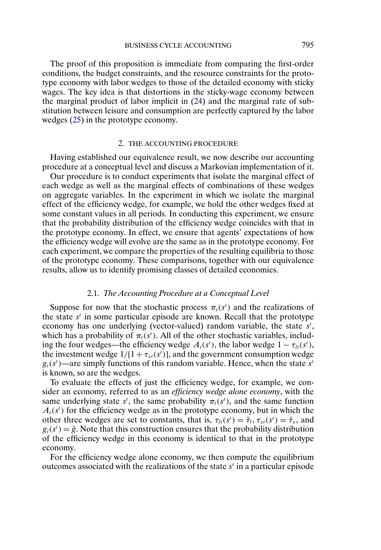The proof of this proposition is immediate from comparing the first-order conditions, the budget constraints, and the resource constraints for the prototype economy with labor wedges to those of the detailed economy with sticky wages. The key idea is that distortions in the sticky-wage economy between the marginal product of labor implicit in [\(24\)](#page-12-0) and the marginal rate of substitution between leisure and consumption are perfectly captured by the labor wedges [\(25\)](#page-13-0) in the prototype economy.

#### 2. THE ACCOUNTING PROCEDURE

Having established our equivalence result, we now describe our accounting procedure at a conceptual level and discuss a Markovian implementation of it.

Our procedure is to conduct experiments that isolate the marginal effect of each wedge as well as the marginal effects of combinations of these wedges on aggregate variables. In the experiment in which we isolate the marginal effect of the efficiency wedge, for example, we hold the other wedges fixed at some constant values in all periods. In conducting this experiment, we ensure that the probability distribution of the efficiency wedge coincides with that in the prototype economy. In effect, we ensure that agents' expectations of how the efficiency wedge will evolve are the same as in the prototype economy. For each experiment, we compare the properties of the resulting equilibria to those of the prototype economy. These comparisons, together with our equivalence results, allow us to identify promising classes of detailed economies.

#### 2.1. *The Accounting Procedure at a Conceptual Level*

Suppose for now that the stochastic process  $\pi_t(s^t)$  and the realizations of the state  $s<sup>t</sup>$  in some particular episode are known. Recall that the prototype economy has one underlying (vector-valued) random variable, the state  $s<sup>t</sup>$ , which has a probability of  $\pi_t(s^t)$ . All of the other stochastic variables, including the four wedges—the efficiency wedge  $A_t(s^t)$ , the labor wedge  $1 - \tau_{lt}(s^t)$ , the investment wedge  $1/[1 + \tau_{xt}(s^t)]$ , and the government consumption wedge  $g_t(s^t)$ —are simply functions of this random variable. Hence, when the state  $s^t$ is known, so are the wedges.

To evaluate the effects of just the efficiency wedge, for example, we consider an economy, referred to as an *efficiency wedge alone economy*, with the same underlying state  $s^t$ , the same probability  $\pi_t(s^t)$ , and the same function  $A_t(s^t)$  for the efficiency wedge as in the prototype economy, but in which the other three wedges are set to constants, that is,  $\tau_{lt}(s^t) = \overline{\tau}_t$ ,  $\tau_{xt}(s^t) = \overline{\tau}_x$ , and  $g_t(s^t) = \overline{g}$ . Note that this construction ensures that the probability distribution of the efficiency wedge in this economy is identical to that in the prototype economy.

For the efficiency wedge alone economy, we then compute the equilibrium outcomes associated with the realizations of the state  $s<sup>t</sup>$  in a particular episode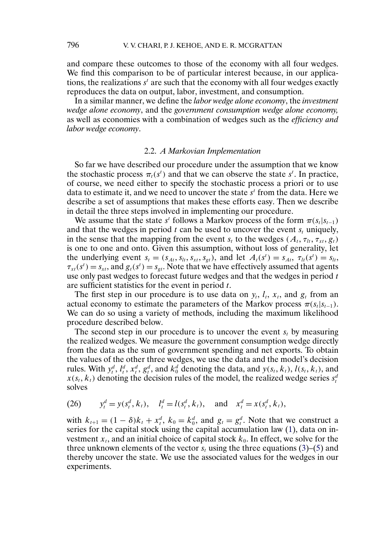<span id="page-15-0"></span>and compare these outcomes to those of the economy with all four wedges. We find this comparison to be of particular interest because, in our applications, the realizations  $s<sup>t</sup>$  are such that the economy with all four wedges exactly reproduces the data on output, labor, investment, and consumption.

In a similar manner, we define the *labor wedge alone economy*, the *investment wedge alone economy*, and the *government consumption wedge alone economy,* as well as economies with a combination of wedges such as the *efficiency and labor wedge economy*.

# 2.2. *A Markovian Implementation*

So far we have described our procedure under the assumption that we know the stochastic process  $\pi_t(s^t)$  and that we can observe the state  $s^t$ . In practice, of course, we need either to specify the stochastic process a priori or to use data to estimate it, and we need to uncover the state  $s<sup>t</sup>$  from the data. Here we describe a set of assumptions that makes these efforts easy. Then we describe in detail the three steps involved in implementing our procedure.

We assume that the state s<sup>t</sup> follows a Markov process of the form  $\pi(s_t|s_{t-1})$ and that the wedges in period t can be used to uncover the event  $s_t$  uniquely, in the sense that the mapping from the event  $s_t$  to the wedges  $(A_t, \tau_{tt}, \tau_{xt}, g_t)$ is one to one and onto. Given this assumption, without loss of generality, let the underlying event  $s_t = (s_{At}, s_{tt}, s_{st}, s_{gt})$ , and let  $A_t(s^t) = s_{At}, \tau_{tt}(s^t) = s_{tt}$ ,  $\tau_{xt}(s^t) = s_{xt}$ , and  $g_t(s^t) = s_{gt}$ . Note that we have effectively assumed that agents use only past wedges to forecast future wedges and that the wedges in period  $t$ are sufficient statistics for the event in period t.

The first step in our procedure is to use data on  $y_t$ ,  $l_t$ ,  $x_t$ , and  $g_t$  from an actual economy to estimate the parameters of the Markov process  $\pi(s_t|s_{t-1})$ . We can do so using a variety of methods, including the maximum likelihood procedure described below.

The second step in our procedure is to uncover the event  $s_t$  by measuring the realized wedges. We measure the government consumption wedge directly from the data as the sum of government spending and net exports. To obtain the values of the other three wedges, we use the data and the model's decision rules. With  $y_t^d$ ,  $l_t^d$ ,  $x_t^d$ ,  $g_t^d$ , and  $k_0^d$  denoting the data, and  $y(s_t, k_t)$ ,  $l(s_t, k_t)$ , and  $x(s_t, k_t)$  denoting the decision rules of the model, the realized wedge series  $s_t^d$ solves

(26) 
$$
y_t^d = y(s_t^d, k_t), \quad l_t^d = l(s_t^d, k_t), \text{ and } x_t^d = x(s_t^d, k_t),
$$

with  $k_{t+1} = (1 - \delta)k_t + x_t^d$ ,  $k_0 = k_0^d$ , and  $g_t = g_t^d$ . Note that we construct a series for the capital stock using the capital accumulation law [\(1\)](#page-5-0), data on investment  $x_t$ , and an initial choice of capital stock  $k_0$ . In effect, we solve for the three unknown elements of the vector  $s_t$  using the three equations [\(3\)](#page-5-0)–[\(5\)](#page-5-0) and thereby uncover the state. We use the associated values for the wedges in our experiments.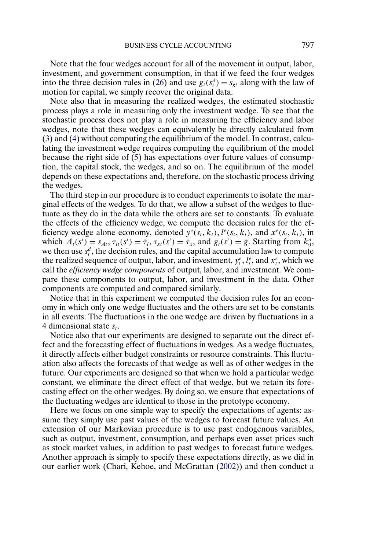<span id="page-16-0"></span>Note that the four wedges account for all of the movement in output, labor, investment, and government consumption, in that if we feed the four wedges into the three decision rules in [\(26\)](#page-15-0) and use  $g_t(s_t^d) = s_{gt}$  along with the law of motion for capital, we simply recover the original data.

Note also that in measuring the realized wedges, the estimated stochastic process plays a role in measuring only the investment wedge. To see that the stochastic process does not play a role in measuring the efficiency and labor wedges, note that these wedges can equivalently be directly calculated from [\(3\)](#page-5-0) and [\(4\)](#page-5-0) without computing the equilibrium of the model. In contrast, calculating the investment wedge requires computing the equilibrium of the model because the right side of [\(5\)](#page-5-0) has expectations over future values of consumption, the capital stock, the wedges, and so on. The equilibrium of the model depends on these expectations and, therefore, on the stochastic process driving the wedges.

The third step in our procedure is to conduct experiments to isolate the marginal effects of the wedges. To do that, we allow a subset of the wedges to fluctuate as they do in the data while the others are set to constants. To evaluate the effects of the efficiency wedge, we compute the decision rules for the efficiency wedge alone economy, denoted  $y^{e}(s_t, k_t)$ ,  $l^{e}(s_t, k_t)$ , and  $x^{e}(s_t, k_t)$ , in which  $A_t(s^t) = s_{At}, \tau_{tt}(s^t) = \overline{\tau}_t, \tau_{xt}(s^t) = \overline{\tau}_x$ , and  $g_t(s^t) = \overline{g}$ . Starting from  $k_0^d$ , we then use  $s_t^d$ , the decision rules, and the capital accumulation law to compute the realized sequence of output, labor, and investment,  $y_t^e$ ,  $l_t^e$ , and  $x_t^e$ , which we call the *efficiency wedge components* of output, labor, and investment. We compare these components to output, labor, and investment in the data. Other components are computed and compared similarly.

Notice that in this experiment we computed the decision rules for an economy in which only one wedge fluctuates and the others are set to be constants in all events. The fluctuations in the one wedge are driven by fluctuations in a 4 dimensional state  $s_t$ .

Notice also that our experiments are designed to separate out the direct effect and the forecasting effect of fluctuations in wedges. As a wedge fluctuates, it directly affects either budget constraints or resource constraints. This fluctuation also affects the forecasts of that wedge as well as of other wedges in the future. Our experiments are designed so that when we hold a particular wedge constant, we eliminate the direct effect of that wedge, but we retain its forecasting effect on the other wedges. By doing so, we ensure that expectations of the fluctuating wedges are identical to those in the prototype economy.

Here we focus on one simple way to specify the expectations of agents: assume they simply use past values of the wedges to forecast future values. An extension of our Markovian procedure is to use past endogenous variables, such as output, investment, consumption, and perhaps even asset prices such as stock market values, in addition to past wedges to forecast future wedges. Another approach is simply to specify these expectations directly, as we did in our earlier work (Chari, Kehoe, and McGrattan [\(2002\)](#page-53-0)) and then conduct a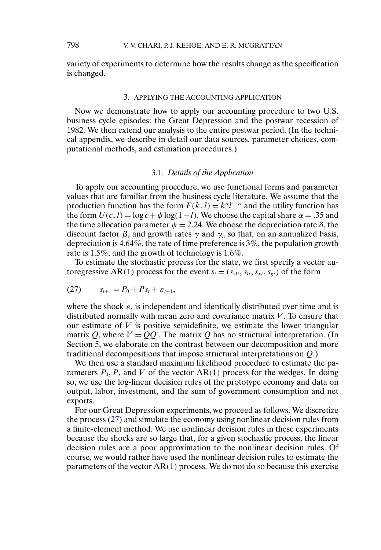variety of experiments to determine how the results change as the specification is changed.

#### 3. APPLYING THE ACCOUNTING APPLICATION

Now we demonstrate how to apply our accounting procedure to two U.S. business cycle episodes: the Great Depression and the postwar recession of 1982. We then extend our analysis to the entire postwar period. (In the technical appendix, we describe in detail our data sources, parameter choices, computational methods, and estimation procedures.)

# 3.1. *Details of the Application*

To apply our accounting procedure, we use functional forms and parameter values that are familiar from the business cycle literature. We assume that the production function has the form  $F(k, l) = k^{\alpha}l^{1-\alpha}$  and the utility function has the form  $U(c, l) = \log c + \psi \log(1 - l)$ . We choose the capital share  $\alpha = .35$  and the time allocation parameter  $\psi = 2.24$ . We choose the depreciation rate  $\delta$ , the discount factor β, and growth rates  $\gamma$  and  $\gamma$ <sub>n</sub> so that, on an annualized basis, depreciation is 4.64%, the rate of time preference is 3%, the population growth rate is 1.5%, and the growth of technology is 1.6%.

To estimate the stochastic process for the state, we first specify a vector autoregressive AR(1) process for the event  $s_t = (s_{At}, s_{tt}, s_{xt}, s_{gt})$  of the form

$$
(27) \t s_{t+1} = P_0 + Ps_t + \varepsilon_{t+1},
$$

where the shock  $\varepsilon_t$  is independent and identically distributed over time and is distributed normally with mean zero and covariance matrix  $V$ . To ensure that our estimate of  $V$  is positive semidefinite, we estimate the lower triangular matrix Q, where  $V = QQ'$ . The matrix Q has no structural interpretation. (In Section [5,](#page-43-0) we elaborate on the contrast between our decomposition and more traditional decompositions that impose structural interpretations on Q.)

We then use a standard maximum likelihood procedure to estimate the parameters  $P_0$ ,  $P$ , and  $V$  of the vector AR(1) process for the wedges. In doing so, we use the log-linear decision rules of the prototype economy and data on output, labor, investment, and the sum of government consumption and net exports.

For our Great Depression experiments, we proceed as follows. We discretize the process (27) and simulate the economy using nonlinear decision rules from a finite-element method. We use nonlinear decision rules in these experiments because the shocks are so large that, for a given stochastic process, the linear decision rules are a poor approximation to the nonlinear decision rules. Of course, we would rather have used the nonlinear decision rules to estimate the parameters of the vector  $AR(1)$  process. We do not do so because this exercise

<span id="page-17-0"></span>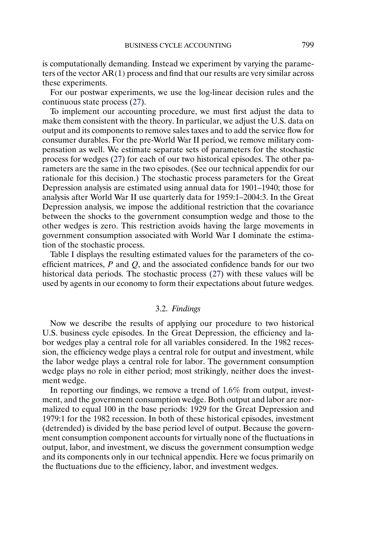is computationally demanding. Instead we experiment by varying the parameters of the vector AR(1) process and find that our results are very similar across these experiments.

For our postwar experiments, we use the log-linear decision rules and the continuous state process [\(27\)](#page-17-0).

To implement our accounting procedure, we must first adjust the data to make them consistent with the theory. In particular, we adjust the U.S. data on output and its components to remove sales taxes and to add the service flow for consumer durables. For the pre-World War II period, we remove military compensation as well. We estimate separate sets of parameters for the stochastic process for wedges [\(27\)](#page-17-0) for each of our two historical episodes. The other parameters are the same in the two episodes. (See our technical appendix for our rationale for this decision.) The stochastic process parameters for the Great Depression analysis are estimated using annual data for 1901–1940; those for analysis after World War II use quarterly data for 1959:1–2004:3. In the Great Depression analysis, we impose the additional restriction that the covariance between the shocks to the government consumption wedge and those to the other wedges is zero. This restriction avoids having the large movements in government consumption associated with World War I dominate the estimation of the stochastic process.

Table [I](#page-19-0) displays the resulting estimated values for the parameters of the coefficient matrices,  $P$  and  $Q$ , and the associated confidence bands for our two historical data periods. The stochastic process [\(27\)](#page-17-0) with these values will be used by agents in our economy to form their expectations about future wedges.

# 3.2. *Findings*

Now we describe the results of applying our procedure to two historical U.S. business cycle episodes. In the Great Depression, the efficiency and labor wedges play a central role for all variables considered. In the 1982 recession, the efficiency wedge plays a central role for output and investment, while the labor wedge plays a central role for labor. The government consumption wedge plays no role in either period; most strikingly, neither does the investment wedge.

In reporting our findings, we remove a trend of 1.6% from output, investment, and the government consumption wedge. Both output and labor are normalized to equal 100 in the base periods: 1929 for the Great Depression and 1979:1 for the 1982 recession. In both of these historical episodes, investment (detrended) is divided by the base period level of output. Because the government consumption component accounts for virtually none of the fluctuations in output, labor, and investment, we discuss the government consumption wedge and its components only in our technical appendix. Here we focus primarily on the fluctuations due to the efficiency, labor, and investment wedges.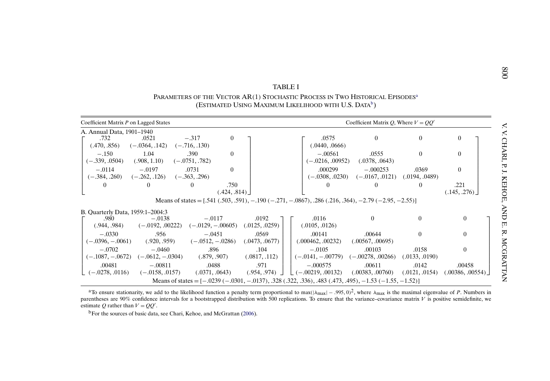#### Parameters of the Vector AR(1) Stochastic Process in Two Historical Episodesª (ESTIMATED USING MAXIMUM LIKELIHOOD WITH U.S. DATAb)

<span id="page-19-0"></span>

| TABLE I                                                                       |                                |                                                       |                         |                         |  |                                       |                                                                   |                                                                                                                 |                         |                            |  |  |  |
|-------------------------------------------------------------------------------|--------------------------------|-------------------------------------------------------|-------------------------|-------------------------|--|---------------------------------------|-------------------------------------------------------------------|-----------------------------------------------------------------------------------------------------------------|-------------------------|----------------------------|--|--|--|
|                                                                               |                                |                                                       |                         |                         |  |                                       | (ESTIMATED USING MAXIMUM LIKELIHOOD WITH U.S. DATA <sup>b</sup> ) | PARAMETERS OF THE VECTOR AR(1) STOCHASTIC PROCESS IN TWO HISTORICAL EPISODES <sup>a</sup>                       |                         |                            |  |  |  |
|                                                                               |                                |                                                       |                         |                         |  |                                       |                                                                   |                                                                                                                 |                         |                            |  |  |  |
| Coefficient Matrix P on Lagged States                                         |                                |                                                       |                         |                         |  | Coefficient Matrix O, Where $V = OO'$ |                                                                   |                                                                                                                 |                         |                            |  |  |  |
| A. Annual Data, 1901–1940<br>.732                                             | .0521                          | $-.317$                                               | $\theta$                |                         |  |                                       | .0575                                                             | $\Omega$                                                                                                        | $\theta$                | $\theta$                   |  |  |  |
| $(.470, .856)$ $(-.0364, .142)$<br>$-.150$<br>$(-.339, .0504)$ $(.908, 1.10)$ | 1.04                           | $(-.716, .130)$<br>.390<br>$(-.0751, .782)$           | $\theta$                |                         |  |                                       | (.0440, .0666)<br>$-.00561$<br>$(-.0216, .00952)$                 | .0555<br>(.0378, .0643)                                                                                         | $\theta$                | $\theta$                   |  |  |  |
| $-.0114$<br>$(-.384, .260)$                                                   | $-.0197$<br>$(-.262, .126)$    | .0731<br>$(-.363, .296)$                              | $\overline{0}$          |                         |  |                                       | .000299                                                           | $-.000253$<br>$(-.0308, .0230)$ $(-.0167, .0121)$ $(.0194, .0489)$                                              | .0369                   | $\theta$                   |  |  |  |
| $\Omega$                                                                      | 0                              | $\Omega$                                              | .750<br>(.424, .814)    |                         |  |                                       | $\Omega$                                                          |                                                                                                                 | $\theta$                | .221<br>(.145, .276)       |  |  |  |
|                                                                               |                                |                                                       |                         |                         |  |                                       |                                                                   | Means of states = $[0.541, 0.503, 0.591), -0.190, -0.271, -0.0867), 0.286, 0.216, 0.364), -2.79, -2.95, -2.55]$ |                         |                            |  |  |  |
| B. Quarterly Data, 1959:1-2004:3                                              |                                |                                                       |                         |                         |  |                                       |                                                                   |                                                                                                                 |                         |                            |  |  |  |
| .980                                                                          | $-.0138$                       | $(.944, .984)$ $(-.0192, .00222)$ $(-.0129, -.00605)$ | $-.0117$                | .0192<br>(.0125, .0259) |  |                                       | .0116<br>(.0105, .0126)                                           | $\theta$                                                                                                        | $\Omega$                | $\Omega$                   |  |  |  |
| $-.0330$<br>$(-.0396, -.0061)$ $(.920, .959)$ $(-.0512, -.0286)$              | .956                           |                                                       | $-.0451$                | .0569<br>(.0473, .0677) |  |                                       | .00141<br>(.000462, .00232)                                       | .00644<br>(.00567, .00695)                                                                                      | $\theta$                | $\theta$                   |  |  |  |
| $-.0702$<br>$(-.1087, -.0672)$ $(-.0612, -.0304)$                             | $-.0460$                       | (.879, .907)                                          | .896                    | .104<br>(.0817, .112)   |  |                                       | $-.0105$                                                          | .00103<br>$(-.0141, -.00779)$ $(-.00278, .00266)$                                                               | .0158<br>(.0133, .0190) | $\theta$                   |  |  |  |
| .00481<br>$[-.0278, .0116)$                                                   | $-.00811$<br>$(-.0158, .0157)$ |                                                       | .0488<br>(.0371, .0643) | .971<br>(.954, .974)    |  |                                       | $-.000575$                                                        | .00611<br>$[-.00219, .00132)$ $(.00383, .00760)$                                                                | .0142<br>(.0121, .0154) | .00458<br>(.00386, .00554) |  |  |  |
|                                                                               |                                |                                                       |                         |                         |  |                                       |                                                                   | Means of states = $[-.0239(-.0301, -.0137), .328(.322, .336), .483(.473, .495), -1.53(-1.55, -1.52)]$           |                         |                            |  |  |  |

<sup>a</sup>To ensure stationarity, we add to the likelihood function a penalty term proportional to max( $|\lambda_{\text{max}}| - .995, 0$ )<sup>2</sup>, where  $\lambda_{\text{max}}$  is the maximal eigenvalue of P. Numbers in parentheses are 90% confidence intervals for a bootstrapped distribution with 500 replications. To ensure that the variance–covariance matrix  $V$  is positive semidefinite, we estimate Q rather than  $V = QQ'$ .

<sup>b</sup>For the sources of basic data, see Chari, Kehoe, and McGrattan [\(2006](#page-53-0)).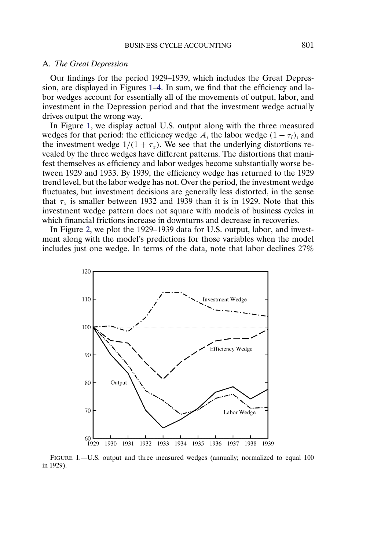#### <span id="page-20-0"></span>A. *The Great Depression*

Our findings for the period 1929–1939, which includes the Great Depression, are displayed in Figures 1[–4.](#page-24-0) In sum, we find that the efficiency and labor wedges account for essentially all of the movements of output, labor, and investment in the Depression period and that the investment wedge actually drives output the wrong way.

In Figure 1, we display actual U.S. output along with the three measured wedges for that period: the efficiency wedge  $A$ , the labor wedge  $(1 - \tau_l)$ , and the investment wedge  $1/(1 + \tau_x)$ . We see that the underlying distortions revealed by the three wedges have different patterns. The distortions that manifest themselves as efficiency and labor wedges become substantially worse between 1929 and 1933. By 1939, the efficiency wedge has returned to the 1929 trend level, but the labor wedge has not. Over the period, the investment wedge fluctuates, but investment decisions are generally less distorted, in the sense that  $\tau_x$  is smaller between 1932 and 1939 than it is in 1929. Note that this investment wedge pattern does not square with models of business cycles in which financial frictions increase in downturns and decrease in recoveries.

In Figure [2,](#page-21-0) we plot the 1929–1939 data for U.S. output, labor, and investment along with the model's predictions for those variables when the model includes just one wedge. In terms of the data, note that labor declines 27%



FIGURE 1.—U.S. output and three measured wedges (annually; normalized to equal 100 in 1929).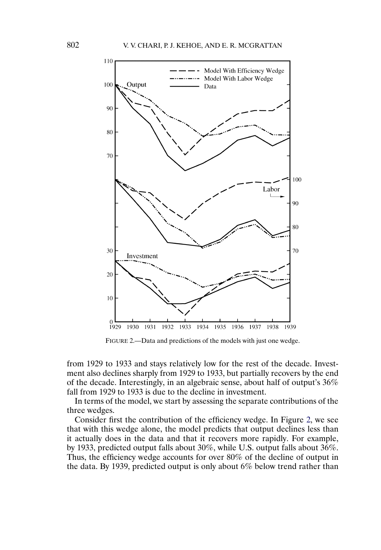<span id="page-21-0"></span>

FIGURE 2.—Data and predictions of the models with just one wedge.

from 1929 to 1933 and stays relatively low for the rest of the decade. Investment also declines sharply from 1929 to 1933, but partially recovers by the end of the decade. Interestingly, in an algebraic sense, about half of output's 36% fall from 1929 to 1933 is due to the decline in investment.

In terms of the model, we start by assessing the separate contributions of the three wedges.

Consider first the contribution of the efficiency wedge. In Figure 2, we see that with this wedge alone, the model predicts that output declines less than it actually does in the data and that it recovers more rapidly. For example, by 1933, predicted output falls about 30%, while U.S. output falls about 36%. Thus, the efficiency wedge accounts for over 80% of the decline of output in the data. By 1939, predicted output is only about 6% below trend rather than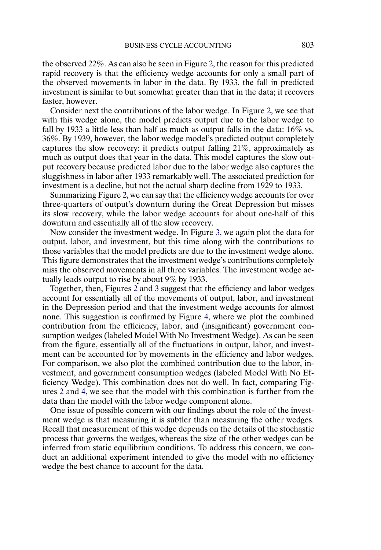the observed 22%. As can also be seen in Figure [2,](#page-21-0) the reason for this predicted rapid recovery is that the efficiency wedge accounts for only a small part of the observed movements in labor in the data. By 1933, the fall in predicted investment is similar to but somewhat greater than that in the data; it recovers faster, however.

Consider next the contributions of the labor wedge. In Figure [2,](#page-21-0) we see that with this wedge alone, the model predicts output due to the labor wedge to fall by 1933 a little less than half as much as output falls in the data: 16% vs. 36%. By 1939, however, the labor wedge model's predicted output completely captures the slow recovery: it predicts output falling 21%, approximately as much as output does that year in the data. This model captures the slow output recovery because predicted labor due to the labor wedge also captures the sluggishness in labor after 1933 remarkably well. The associated prediction for investment is a decline, but not the actual sharp decline from 1929 to 1933.

Summarizing Figure [2,](#page-21-0) we can say that the efficiency wedge accounts for over three-quarters of output's downturn during the Great Depression but misses its slow recovery, while the labor wedge accounts for about one-half of this downturn and essentially all of the slow recovery.

Now consider the investment wedge. In Figure [3,](#page-23-0) we again plot the data for output, labor, and investment, but this time along with the contributions to those variables that the model predicts are due to the investment wedge alone. This figure demonstrates that the investment wedge's contributions completely miss the observed movements in all three variables. The investment wedge actually leads output to rise by about 9% by 1933.

Together, then, Figures [2](#page-21-0) and [3](#page-23-0) suggest that the efficiency and labor wedges account for essentially all of the movements of output, labor, and investment in the Depression period and that the investment wedge accounts for almost none. This suggestion is confirmed by Figure [4,](#page-24-0) where we plot the combined contribution from the efficiency, labor, and (insignificant) government consumption wedges (labeled Model With No Investment Wedge). As can be seen from the figure, essentially all of the fluctuations in output, labor, and investment can be accounted for by movements in the efficiency and labor wedges. For comparison, we also plot the combined contribution due to the labor, investment, and government consumption wedges (labeled Model With No Efficiency Wedge). This combination does not do well. In fact, comparing Figures [2](#page-21-0) and [4,](#page-24-0) we see that the model with this combination is further from the data than the model with the labor wedge component alone.

One issue of possible concern with our findings about the role of the investment wedge is that measuring it is subtler than measuring the other wedges. Recall that measurement of this wedge depends on the details of the stochastic process that governs the wedges, whereas the size of the other wedges can be inferred from static equilibrium conditions. To address this concern, we conduct an additional experiment intended to give the model with no efficiency wedge the best chance to account for the data.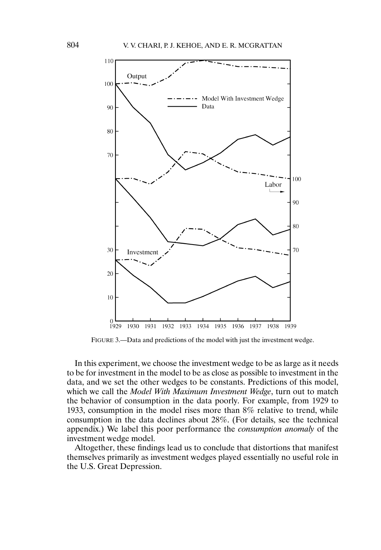<span id="page-23-0"></span>

FIGURE 3.—Data and predictions of the model with just the investment wedge.

In this experiment, we choose the investment wedge to be as large as it needs to be for investment in the model to be as close as possible to investment in the data, and we set the other wedges to be constants. Predictions of this model, which we call the *Model With Maximum Investment Wedge*, turn out to match the behavior of consumption in the data poorly. For example, from 1929 to 1933, consumption in the model rises more than 8% relative to trend, while consumption in the data declines about 28%. (For details, see the technical appendix.) We label this poor performance the *consumption anomaly* of the investment wedge model.

Altogether, these findings lead us to conclude that distortions that manifest themselves primarily as investment wedges played essentially no useful role in the U.S. Great Depression.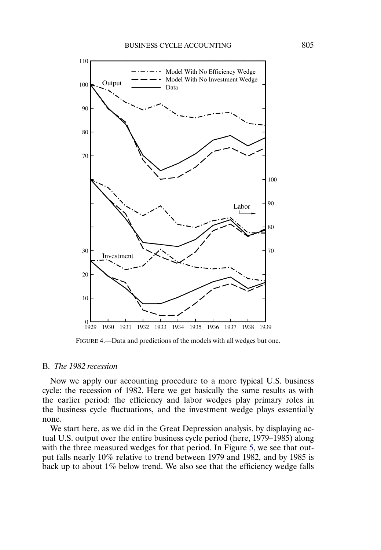<span id="page-24-0"></span>

FIGURE 4.—Data and predictions of the models with all wedges but one.

# B. *The 1982 recession*

Now we apply our accounting procedure to a more typical U.S. business cycle: the recession of 1982. Here we get basically the same results as with the earlier period: the efficiency and labor wedges play primary roles in the business cycle fluctuations, and the investment wedge plays essentially none.

We start here, as we did in the Great Depression analysis, by displaying actual U.S. output over the entire business cycle period (here, 1979–1985) along with the three measured wedges for that period. In Figure [5,](#page-25-0) we see that output falls nearly 10% relative to trend between 1979 and 1982, and by 1985 is back up to about 1% below trend. We also see that the efficiency wedge falls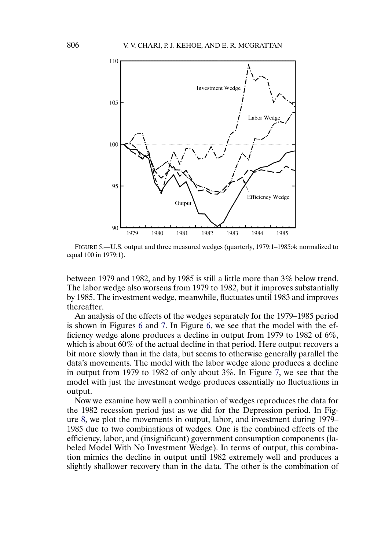<span id="page-25-0"></span>

FIGURE 5.—U.S. output and three measured wedges (quarterly, 1979:1–1985:4; normalized to equal 100 in 1979:1).

between 1979 and 1982, and by 1985 is still a little more than 3% below trend. The labor wedge also worsens from 1979 to 1982, but it improves substantially by 1985. The investment wedge, meanwhile, fluctuates until 1983 and improves thereafter.

An analysis of the effects of the wedges separately for the 1979–1985 period is shown in Figures [6](#page-26-0) and [7.](#page-27-0) In Figure [6,](#page-26-0) we see that the model with the efficiency wedge alone produces a decline in output from 1979 to 1982 of 6%, which is about 60% of the actual decline in that period. Here output recovers a bit more slowly than in the data, but seems to otherwise generally parallel the data's movements. The model with the labor wedge alone produces a decline in output from 1979 to 1982 of only about 3%. In Figure [7,](#page-27-0) we see that the model with just the investment wedge produces essentially no fluctuations in output.

Now we examine how well a combination of wedges reproduces the data for the 1982 recession period just as we did for the Depression period. In Figure [8,](#page-28-0) we plot the movements in output, labor, and investment during 1979– 1985 due to two combinations of wedges. One is the combined effects of the efficiency, labor, and (insignificant) government consumption components (labeled Model With No Investment Wedge). In terms of output, this combination mimics the decline in output until 1982 extremely well and produces a slightly shallower recovery than in the data. The other is the combination of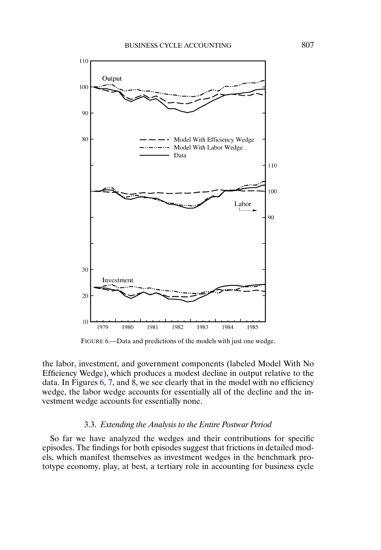<span id="page-26-0"></span>

FIGURE 6.—Data and predictions of the models with just one wedge.

the labor, investment, and government components (labeled Model With No Efficiency Wedge), which produces a modest decline in output relative to the data. In Figures 6, [7,](#page-27-0) and [8,](#page-28-0) we see clearly that in the model with no efficiency wedge, the labor wedge accounts for essentially all of the decline and the investment wedge accounts for essentially none.

#### 3.3. *Extending the Analysis to the Entire Postwar Period*

So far we have analyzed the wedges and their contributions for specific episodes. The findings for both episodes suggest that frictions in detailed models, which manifest themselves as investment wedges in the benchmark prototype economy, play, at best, a tertiary role in accounting for business cycle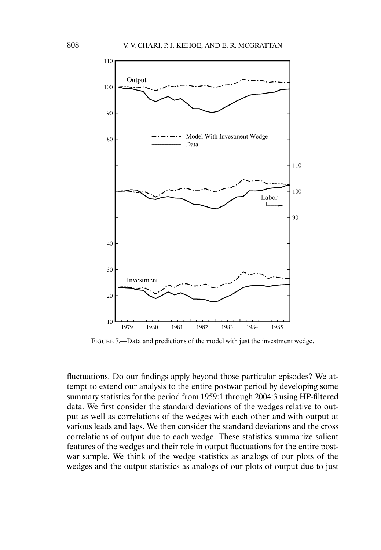<span id="page-27-0"></span>

FIGURE 7.—Data and predictions of the model with just the investment wedge.

fluctuations. Do our findings apply beyond those particular episodes? We attempt to extend our analysis to the entire postwar period by developing some summary statistics for the period from 1959:1 through 2004:3 using HP-filtered data. We first consider the standard deviations of the wedges relative to output as well as correlations of the wedges with each other and with output at various leads and lags. We then consider the standard deviations and the cross correlations of output due to each wedge. These statistics summarize salient features of the wedges and their role in output fluctuations for the entire postwar sample. We think of the wedge statistics as analogs of our plots of the wedges and the output statistics as analogs of our plots of output due to just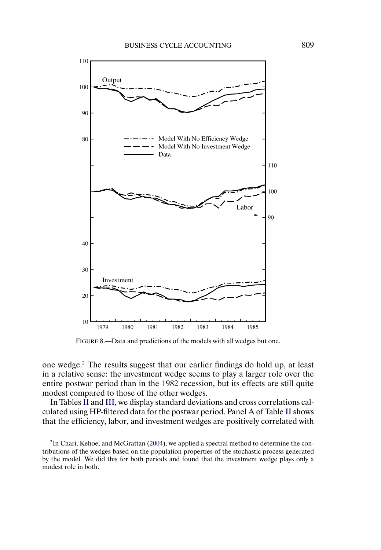<span id="page-28-0"></span>

FIGURE 8.—Data and predictions of the models with all wedges but one.

one wedge.2 The results suggest that our earlier findings do hold up, at least in a relative sense: the investment wedge seems to play a larger role over the entire postwar period than in the 1982 recession, but its effects are still quite modest compared to those of the other wedges.

In Tables [II](#page-29-0) and [III,](#page-30-0) we display standard deviations and cross correlations calculated using HP-filtered data for the postwar period. Panel A of Table [II](#page-29-0) shows that the efficiency, labor, and investment wedges are positively correlated with

 $2$ In Chari, Kehoe, and McGrattan [\(2004\)](#page-53-0), we applied a spectral method to determine the contributions of the wedges based on the population properties of the stochastic process generated by the model. We did this for both periods and found that the investment wedge plays only a modest role in both.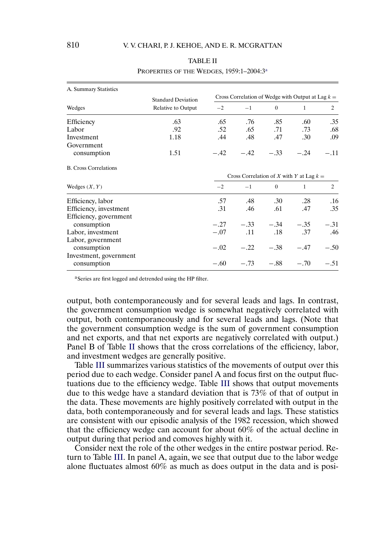<span id="page-29-0"></span>

| A. Summary Statistics        |                           |                                                     |        |          |              |                |  |  |
|------------------------------|---------------------------|-----------------------------------------------------|--------|----------|--------------|----------------|--|--|
|                              | <b>Standard Deviation</b> | Cross Correlation of Wedge with Output at Lag $k =$ |        |          |              |                |  |  |
| Wedges                       | <b>Relative to Output</b> | $-2$                                                | $-1$   | $\Omega$ | $\mathbf{1}$ | $\overline{2}$ |  |  |
| Efficiency                   | .63                       | .65                                                 | .76    | .85      | .60          | .35            |  |  |
| Labor                        | .92                       | .52                                                 | .65    | .71      | .73          | .68            |  |  |
| Investment                   | 1.18                      | .44                                                 | .48    | .47      | .30          | .09            |  |  |
| Government                   |                           |                                                     |        |          |              |                |  |  |
| consumption                  | 1.51                      | $-.42$                                              | $-.42$ | $-.33$   | $-.24$       | $-.11$         |  |  |
| <b>B.</b> Cross Correlations |                           |                                                     |        |          |              |                |  |  |
|                              |                           | Cross Correlation of X with Y at Lag $k =$          |        |          |              |                |  |  |
| Wedges $(X, Y)$              |                           | $-2$                                                | $-1$   | $\Omega$ | $\mathbf{1}$ | $\overline{2}$ |  |  |
| Efficiency, labor            |                           | .57                                                 | .48    | .30      | .28          | .16            |  |  |
| Efficiency, investment       |                           | .31                                                 | .46    | .61      | .47          | .35            |  |  |
| Efficiency, government       |                           |                                                     |        |          |              |                |  |  |
| consumption                  |                           | $-.27$                                              | $-.33$ | $-.34$   | $-.35$       | $-.31$         |  |  |
| Labor, investment            |                           | $-.07$                                              | .11    | .18      | .37          | .46            |  |  |
| Labor, government            |                           |                                                     |        |          |              |                |  |  |
| consumption                  |                           | $-.02$                                              | $-.22$ | $-.38$   | $-.47$       | $-.50$         |  |  |
| Investment, government       |                           |                                                     |        |          |              |                |  |  |
| consumption                  |                           | $-.60$                                              | $-.73$ | $-.88$   | $-.70$       | $-.51$         |  |  |

# TABLE II PROPERTIES OF THE WEDGES, 1959:1-2004:3<sup>a</sup>

aSeries are first logged and detrended using the HP filter.

output, both contemporaneously and for several leads and lags. In contrast, the government consumption wedge is somewhat negatively correlated with output, both contemporaneously and for several leads and lags. (Note that the government consumption wedge is the sum of government consumption and net exports, and that net exports are negatively correlated with output.) Panel B of Table II shows that the cross correlations of the efficiency, labor, and investment wedges are generally positive.

Table [III](#page-30-0) summarizes various statistics of the movements of output over this period due to each wedge. Consider panel A and focus first on the output fluctuations due to the efficiency wedge. Table [III](#page-30-0) shows that output movements due to this wedge have a standard deviation that is 73% of that of output in the data. These movements are highly positively correlated with output in the data, both contemporaneously and for several leads and lags. These statistics are consistent with our episodic analysis of the 1982 recession, which showed that the efficiency wedge can account for about 60% of the actual decline in output during that period and comoves highly with it.

Consider next the role of the other wedges in the entire postwar period. Return to Table [III.](#page-30-0) In panel A, again, we see that output due to the labor wedge alone fluctuates almost 60% as much as does output in the data and is posi-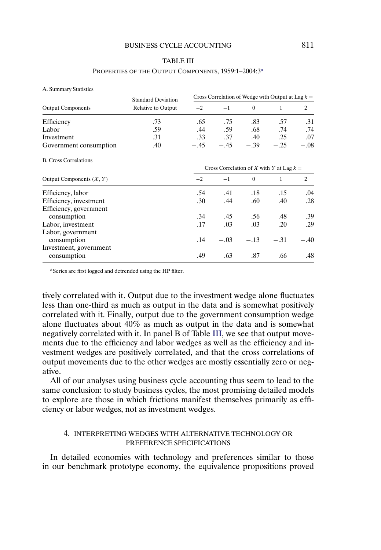#### <span id="page-30-0"></span>A. Summary Statistics Standard Deviation Relative to Output Cross Correlation of Wedge with Output at Lag  $k =$ Output Components **Faller** Relative to Output  $-2$   $-1$  0 1 2 Efficiency 73 -65 -75 -83 -57 -31 Labor 59 - $.44$ 59 -68 -74 -74 **Investment**  $.31$ 33 -37 -40 -25 -07 Government consumption 40 −- $-.45$  $-.45$  $-.39$  $-.25$  $-.08$ B. Cross Correlations Cross Correlation of X with Y at Lag  $k =$ Output Components  $(X, Y)$   $-2$   $-1$  0 1 2 Efficiency, labor 54 -41 -18 -15 -04 Efficiency, investment 30 -44 -60 -40 -28 Efficiency, government consumption  $-.34$  $-.45$  $-.56$  $-.48$  $-.39$ Labor, investment  $-.17$  $-.03$  $-.03$ 20 -29 Labor, government consumption  $.14$  $-.03$  $-.13$  $-.31$  $-.40$ Investment, government consumption  $-.49$  $-.63$  $-.87$  $-.66$  $-.48$

## TABLE III PROPERTIES OF THE OUTPUT COMPONENTS, 1959:1-2004:3<sup>a</sup>

aSeries are first logged and detrended using the HP filter.

tively correlated with it. Output due to the investment wedge alone fluctuates less than one-third as much as output in the data and is somewhat positively correlated with it. Finally, output due to the government consumption wedge alone fluctuates about 40% as much as output in the data and is somewhat negatively correlated with it. In panel B of Table III, we see that output movements due to the efficiency and labor wedges as well as the efficiency and investment wedges are positively correlated, and that the cross correlations of output movements due to the other wedges are mostly essentially zero or negative.

All of our analyses using business cycle accounting thus seem to lead to the same conclusion: to study business cycles, the most promising detailed models to explore are those in which frictions manifest themselves primarily as efficiency or labor wedges, not as investment wedges.

# 4. INTERPRETING WEDGES WITH ALTERNATIVE TECHNOLOGY OR PREFERENCE SPECIFICATIONS

In detailed economies with technology and preferences similar to those in our benchmark prototype economy, the equivalence propositions proved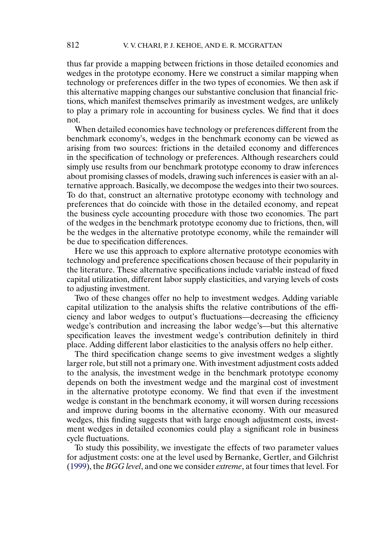<span id="page-31-0"></span>thus far provide a mapping between frictions in those detailed economies and wedges in the prototype economy. Here we construct a similar mapping when technology or preferences differ in the two types of economies. We then ask if this alternative mapping changes our substantive conclusion that financial frictions, which manifest themselves primarily as investment wedges, are unlikely to play a primary role in accounting for business cycles. We find that it does not.

When detailed economies have technology or preferences different from the benchmark economy's, wedges in the benchmark economy can be viewed as arising from two sources: frictions in the detailed economy and differences in the specification of technology or preferences. Although researchers could simply use results from our benchmark prototype economy to draw inferences about promising classes of models, drawing such inferences is easier with an alternative approach. Basically, we decompose the wedges into their two sources. To do that, construct an alternative prototype economy with technology and preferences that do coincide with those in the detailed economy, and repeat the business cycle accounting procedure with those two economies. The part of the wedges in the benchmark prototype economy due to frictions, then, will be the wedges in the alternative prototype economy, while the remainder will be due to specification differences.

Here we use this approach to explore alternative prototype economies with technology and preference specifications chosen because of their popularity in the literature. These alternative specifications include variable instead of fixed capital utilization, different labor supply elasticities, and varying levels of costs to adjusting investment.

Two of these changes offer no help to investment wedges. Adding variable capital utilization to the analysis shifts the relative contributions of the efficiency and labor wedges to output's fluctuations—decreasing the efficiency wedge's contribution and increasing the labor wedge's—but this alternative specification leaves the investment wedge's contribution definitely in third place. Adding different labor elasticities to the analysis offers no help either.

The third specification change seems to give investment wedges a slightly larger role, but still not a primary one. With investment adjustment costs added to the analysis, the investment wedge in the benchmark prototype economy depends on both the investment wedge and the marginal cost of investment in the alternative prototype economy. We find that even if the investment wedge is constant in the benchmark economy, it will worsen during recessions and improve during booms in the alternative economy. With our measured wedges, this finding suggests that with large enough adjustment costs, investment wedges in detailed economies could play a significant role in business cycle fluctuations.

To study this possibility, we investigate the effects of two parameter values for adjustment costs: one at the level used by Bernanke, Gertler, and Gilchrist [\(1999\)](#page-53-0), the *BGG level*, and one we consider *extreme*, at four times that level. For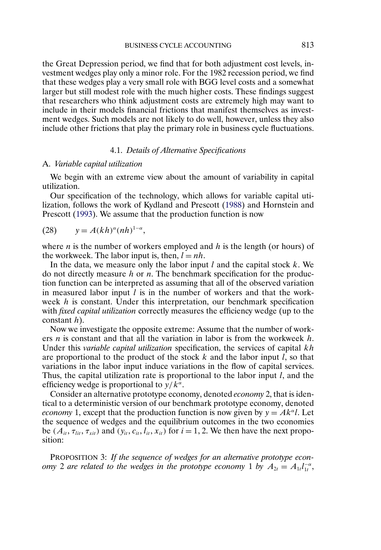<span id="page-32-0"></span>the Great Depression period, we find that for both adjustment cost levels, investment wedges play only a minor role. For the 1982 recession period, we find that these wedges play a very small role with BGG level costs and a somewhat larger but still modest role with the much higher costs. These findings suggest that researchers who think adjustment costs are extremely high may want to include in their models financial frictions that manifest themselves as investment wedges. Such models are not likely to do well, however, unless they also include other frictions that play the primary role in business cycle fluctuations.

# 4.1. *Details of Alternative Specifications*

#### A. *Variable capital utilization*

We begin with an extreme view about the amount of variability in capital utilization.

Our specification of the technology, which allows for variable capital utilization, follows the work of Kydland and Prescott [\(1988\)](#page-54-0) and Hornstein and Prescott [\(1993\)](#page-54-0). We assume that the production function is now

$$
(28) \qquad y = A(kh)^{\alpha} (nh)^{1-\alpha},
$$

where *n* is the number of workers employed and *h* is the length (or hours) of the workweek. The labor input is, then,  $l = nh$ .

In the data, we measure only the labor input  $l$  and the capital stock  $k$ . We do not directly measure  $h$  or  $n$ . The benchmark specification for the production function can be interpreted as assuming that all of the observed variation in measured labor input  $l$  is in the number of workers and that the workweek  $h$  is constant. Under this interpretation, our benchmark specification with *fixed capital utilization* correctly measures the efficiency wedge (up to the constant  $h$ ).

Now we investigate the opposite extreme: Assume that the number of workers *n* is constant and that all the variation in labor is from the workweek  $h$ . Under this *variable capital utilization* specification, the services of capital kh are proportional to the product of the stock  $k$  and the labor input  $l$ , so that variations in the labor input induce variations in the flow of capital services. Thus, the capital utilization rate is proportional to the labor input  $l$ , and the efficiency wedge is proportional to  $y/k^{\alpha}$ .

Consider an alternative prototype economy, denoted *economy* 2, that is identical to a deterministic version of our benchmark prototype economy, denoted *economy* 1, except that the production function is now given by  $y = Ak^{\alpha}l$ . Let the sequence of wedges and the equilibrium outcomes in the two economies be  $(A_{it}, \tau_{lit}, \tau_{xit})$  and  $(y_{it}, c_{it}, l_{it}, x_{it})$  for  $i = 1, 2$ . We then have the next proposition:

PROPOSITION 3: *If the sequence of wedges for an alternative prototype economy* 2 are related to the wedges in the prototype economy 1 by  $A_{2t} = A_{1t} l_{1t}^{-\alpha}$ ,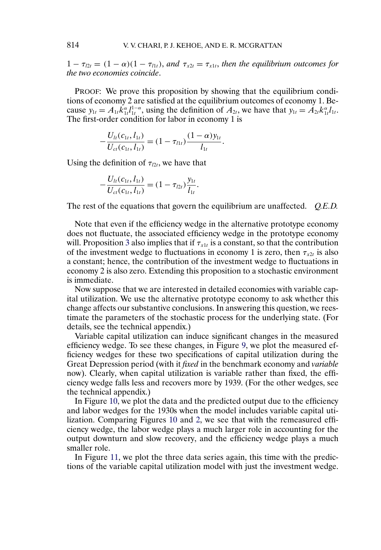$1 - \tau_{12t} = (1 - \alpha)(1 - \tau_{11t})$ , and  $\tau_{x2t} = \tau_{x1t}$ , then the equilibrium outcomes for *the two economies coincide*.

PROOF: We prove this proposition by showing that the equilibrium conditions of economy 2 are satisfied at the equilibrium outcomes of economy 1. Because  $y_{1t} = A_{1t} k_{1t}^{\alpha} l_{1t}^{1-\alpha}$ , using the definition of  $A_{2t}$ , we have that  $y_{1t} = A_{2t} k_{1t}^{\alpha} l_{1t}$ . The first-order condition for labor in economy 1 is

$$
-\frac{U_{lt}(c_{1t}, l_{1t})}{U_{ct}(c_{1t}, l_{1t})} = (1 - \tau_{l1t}) \frac{(1 - \alpha)y_{1t}}{l_{1t}}.
$$

Using the definition of  $\tau_{12t}$ , we have that

$$
-\frac{U_{lt}(c_{1t}, l_{1t})}{U_{ct}(c_{1t}, l_{1t})} = (1 - \tau_{l2t})\frac{y_{1t}}{l_{1t}}.
$$

The rest of the equations that govern the equilibrium are unaffected. *Q.E.D.*

Note that even if the efficiency wedge in the alternative prototype economy does not fluctuate, the associated efficiency wedge in the prototype economy will. Proposition [3](#page-32-0) also implies that if  $\tau_{x1t}$  is a constant, so that the contribution of the investment wedge to fluctuations in economy 1 is zero, then  $\tau_{x2t}$  is also a constant; hence, the contribution of the investment wedge to fluctuations in economy 2 is also zero. Extending this proposition to a stochastic environment is immediate.

Now suppose that we are interested in detailed economies with variable capital utilization. We use the alternative prototype economy to ask whether this change affects our substantive conclusions. In answering this question, we reestimate the parameters of the stochastic process for the underlying state. (For details, see the technical appendix.)

Variable capital utilization can induce significant changes in the measured efficiency wedge. To see these changes, in Figure [9,](#page-34-0) we plot the measured efficiency wedges for these two specifications of capital utilization during the Great Depression period (with it *fixed* in the benchmark economy and *variable* now). Clearly, when capital utilization is variable rather than fixed, the efficiency wedge falls less and recovers more by 1939. (For the other wedges, see the technical appendix.)

In Figure [10,](#page-35-0) we plot the data and the predicted output due to the efficiency and labor wedges for the 1930s when the model includes variable capital utilization. Comparing Figures [10](#page-35-0) and [2,](#page-21-0) we see that with the remeasured efficiency wedge, the labor wedge plays a much larger role in accounting for the output downturn and slow recovery, and the efficiency wedge plays a much smaller role.

In Figure [11,](#page-36-0) we plot the three data series again, this time with the predictions of the variable capital utilization model with just the investment wedge.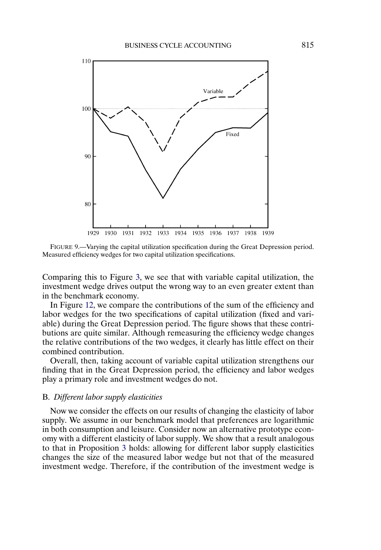<span id="page-34-0"></span>

FIGURE 9.—Varying the capital utilization specification during the Great Depression period. Measured efficiency wedges for two capital utilization specifications.

Comparing this to Figure [3,](#page-23-0) we see that with variable capital utilization, the investment wedge drives output the wrong way to an even greater extent than in the benchmark economy.

In Figure [12,](#page-37-0) we compare the contributions of the sum of the efficiency and labor wedges for the two specifications of capital utilization (fixed and variable) during the Great Depression period. The figure shows that these contributions are quite similar. Although remeasuring the efficiency wedge changes the relative contributions of the two wedges, it clearly has little effect on their combined contribution.

Overall, then, taking account of variable capital utilization strengthens our finding that in the Great Depression period, the efficiency and labor wedges play a primary role and investment wedges do not.

#### B. *Different labor supply elasticities*

Now we consider the effects on our results of changing the elasticity of labor supply. We assume in our benchmark model that preferences are logarithmic in both consumption and leisure. Consider now an alternative prototype economy with a different elasticity of labor supply. We show that a result analogous to that in Proposition [3](#page-32-0) holds: allowing for different labor supply elasticities changes the size of the measured labor wedge but not that of the measured investment wedge. Therefore, if the contribution of the investment wedge is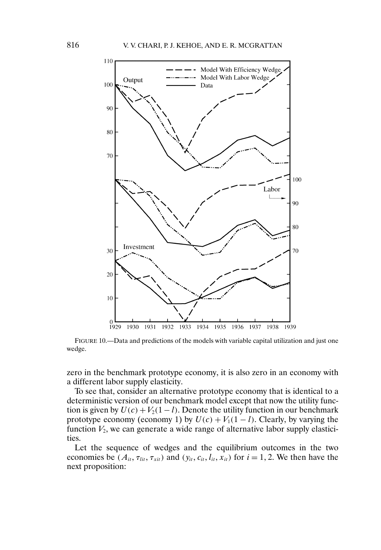<span id="page-35-0"></span>

FIGURE 10.—Data and predictions of the models with variable capital utilization and just one wedge.

zero in the benchmark prototype economy, it is also zero in an economy with a different labor supply elasticity.

To see that, consider an alternative prototype economy that is identical to a deterministic version of our benchmark model except that now the utility function is given by  $U(c) + V_2(1 - l)$ . Denote the utility function in our benchmark prototype economy (economy 1) by  $U(c) + V_1(1 - l)$ . Clearly, by varying the function  $V_2$ , we can generate a wide range of alternative labor supply elasticities.

Let the sequence of wedges and the equilibrium outcomes in the two economies be  $(A_{it}, \tau_{lit}, \tau_{xit})$  and  $(y_{it}, c_{it}, l_{it}, x_{it})$  for  $i = 1, 2$ . We then have the next proposition: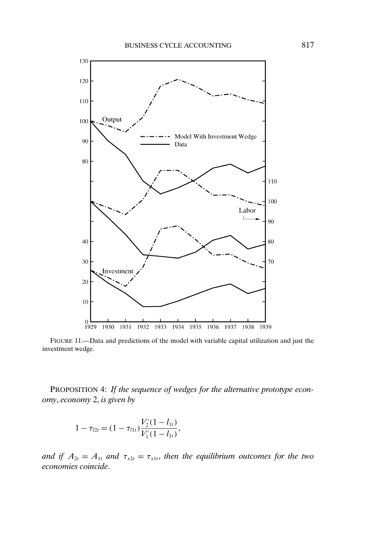<span id="page-36-0"></span>

FIGURE 11.—Data and predictions of the model with variable capital utilization and just the investment wedge.

PROPOSITION 4: *If the sequence of wedges for the alternative prototype economy*, *economy* 2, *is given by*

$$
1 - \tau_{l2t} = (1 - \tau_{l1t}) \frac{V_2'(1 - l_{1t})}{V_1'(1 - l_{1t})},
$$

*and if*  $A_{2t} = A_{1t}$  *and*  $\tau_{x2t} = \tau_{x1t}$ , *then the equilibrium outcomes for the two economies coincide*.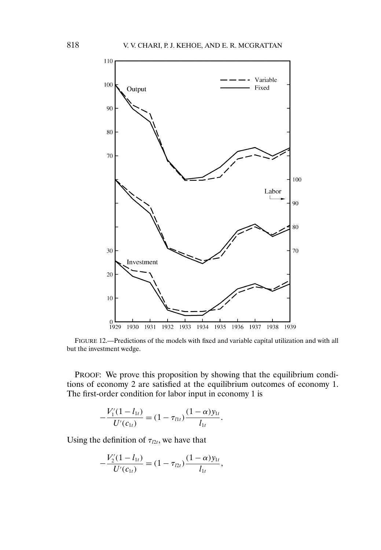<span id="page-37-0"></span>

FIGURE 12.—Predictions of the models with fixed and variable capital utilization and with all but the investment wedge.

PROOF: We prove this proposition by showing that the equilibrium conditions of economy 2 are satisfied at the equilibrium outcomes of economy 1. The first-order condition for labor input in economy 1 is

$$
-\frac{V_1'(1-l_{1t})}{U'(c_{1t})}=(1-\tau_{l1t})\frac{(1-\alpha)y_{1t}}{l_{1t}}.
$$

Using the definition of  $\tau_{12t}$ , we have that

$$
-\frac{V_2'(1-l_{1t})}{U'(c_{1t})}=(1-\tau_{12t})\frac{(1-\alpha)y_{1t}}{l_{1t}},
$$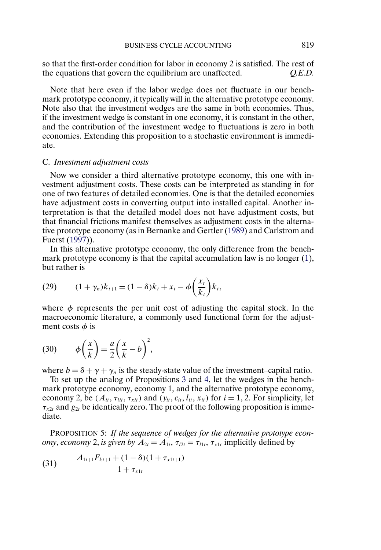<span id="page-38-0"></span>so that the first-order condition for labor in economy 2 is satisfied. The rest of the equations that govern the equilibrium are unaffected. *Q.E.D.*

Note that here even if the labor wedge does not fluctuate in our benchmark prototype economy, it typically will in the alternative prototype economy. Note also that the investment wedges are the same in both economies. Thus, if the investment wedge is constant in one economy, it is constant in the other, and the contribution of the investment wedge to fluctuations is zero in both economies. Extending this proposition to a stochastic environment is immediate.

# C. *Investment adjustment costs*

Now we consider a third alternative prototype economy, this one with investment adjustment costs. These costs can be interpreted as standing in for one of two features of detailed economies. One is that the detailed economies have adjustment costs in converting output into installed capital. Another interpretation is that the detailed model does not have adjustment costs, but that financial frictions manifest themselves as adjustment costs in the alternative prototype economy (as in Bernanke and Gertler [\(1989\)](#page-53-0) and Carlstrom and Fuerst [\(1997\)](#page-53-0)).

In this alternative prototype economy, the only difference from the benchmark prototype economy is that the capital accumulation law is no longer [\(1\)](#page-5-0), but rather is

(29) 
$$
(1 + \gamma_n)k_{t+1} = (1 - \delta)k_t + x_t - \phi\left(\frac{x_t}{k_t}\right)k_t,
$$

where  $\phi$  represents the per unit cost of adjusting the capital stock. In the macroeconomic literature, a commonly used functional form for the adjustment costs  $\phi$  is

$$
(30) \qquad \phi\left(\frac{x}{k}\right) = \frac{a}{2}\left(\frac{x}{k} - b\right)^2,
$$

where  $b = \delta + \gamma + \gamma_n$  is the steady-state value of the investment–capital ratio.

To set up the analog of Propositions [3](#page-32-0) and [4,](#page-36-0) let the wedges in the benchmark prototype economy, economy 1, and the alternative prototype economy, economy 2, be  $(A_{it}, \tau_{lit}, \tau_{xit})$  and  $(y_{it}, c_{it}, l_{it}, x_{it})$  for  $i = 1, 2$ . For simplicity, let  $\tau_{x2t}$  and  $g_{2t}$  be identically zero. The proof of the following proposition is immediate.

PROPOSITION 5: *If the sequence of wedges for the alternative prototype economy*, *economy* 2, *is given by*  $A_{2t} = A_{1t}$ ,  $\tau_{12t} = \tau_{11t}$ ,  $\tau_{x1t}$  implicitly defined by

(31) 
$$
\frac{A_{1t+1}F_{kt+1} + (1-\delta)(1+\tau_{x1t+1})}{1+\tau_{x1t}}
$$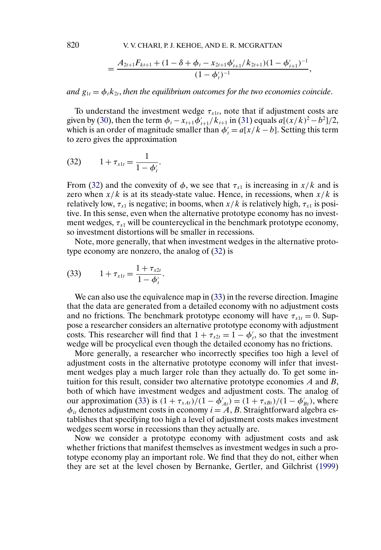<span id="page-39-0"></span>820 V. V. CHARI, P. J. KEHOE, AND E. R. MCGRATTAN

$$
=\frac{A_{2t+1}F_{kt+1}+(1-\delta+\phi_t-x_{2t+1}\phi_{t+1}^{\prime}/k_{2t+1})(1-\phi_{t+1}^{\prime})^{-1}}{(1-\phi_t^{\prime})^{-1}},
$$

*and*  $g_{1t} = \phi_t k_{2t}$ , *then the equilibrium outcomes for the two economies coincide.* 

To understand the investment wedge  $\tau_{x1t}$ , note that if adjustment costs are given by [\(30\)](#page-38-0), then the term  $\phi_t - x_{t+1} \phi'_{t+1}/k_{t+1}$  in [\(31\)](#page-38-0) equals  $a[(x/k)^2 - b^2]/2$ , which is an order of magnitude smaller than  $\phi'_t = a[x/k - b]$ . Setting this term to zero gives the approximation

(32) 
$$
1 + \tau_{x1t} = \frac{1}{1 - \phi'_t}.
$$

From (32) and the convexity of  $\phi$ , we see that  $\tau_{x1}$  is increasing in  $x/k$  and is zero when  $x/k$  is at its steady-state value. Hence, in recessions, when  $x/k$  is relatively low,  $\tau_{x1}$  is negative; in booms, when  $x/k$  is relatively high,  $\tau_{x1}$  is positive. In this sense, even when the alternative prototype economy has no investment wedges,  $\tau_{x1}$  will be countercyclical in the benchmark prototype economy, so investment distortions will be smaller in recessions.

Note, more generally, that when investment wedges in the alternative prototype economy are nonzero, the analog of (32) is

(33) 
$$
1 + \tau_{x1t} = \frac{1 + \tau_{x2t}}{1 - \phi'_t}.
$$

We can also use the equivalence map in  $(33)$  in the reverse direction. Imagine that the data are generated from a detailed economy with no adjustment costs and no frictions. The benchmark prototype economy will have  $\tau_{x1t} = 0$ . Suppose a researcher considers an alternative prototype economy with adjustment costs. This researcher will find that  $1 + \tau_{x2t} = 1 - \phi_t'$ , so that the investment wedge will be procyclical even though the detailed economy has no frictions.

More generally, a researcher who incorrectly specifies too high a level of adjustment costs in the alternative prototype economy will infer that investment wedges play a much larger role than they actually do. To get some intuition for this result, consider two alternative prototype economies  $A$  and  $B$ , both of which have investment wedges and adjustment costs. The analog of our approximation (33) is  $(1 + \tau_{xAt})/(1 - \phi'_{At}) = (1 + \tau_{xBt})/(1 - \phi'_{Bt})$ , where  $\phi_{it}$  denotes adjustment costs in economy  $i = A, B$ . Straightforward algebra establishes that specifying too high a level of adjustment costs makes investment wedges seem worse in recessions than they actually are.

Now we consider a prototype economy with adjustment costs and ask whether frictions that manifest themselves as investment wedges in such a prototype economy play an important role. We find that they do not, either when they are set at the level chosen by Bernanke, Gertler, and Gilchrist [\(1999\)](#page-53-0)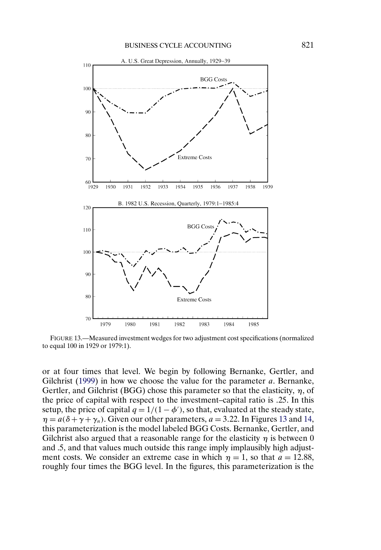<span id="page-40-0"></span>

FIGURE 13.—Measured investment wedges for two adjustment cost specifications (normalized to equal 100 in 1929 or 1979:1).

or at four times that level. We begin by following Bernanke, Gertler, and Gilchrist [\(1999\)](#page-53-0) in how we choose the value for the parameter *a*. Bernanke, Gertler, and Gilchrist (BGG) chose this parameter so that the elasticity,  $\eta$ , of the price of capital with respect to the investment–capital ratio is -25. In this setup, the price of capital  $q = 1/(1 - \phi')$ , so that, evaluated at the steady state,  $\eta = a(\delta + \gamma + \gamma_n)$ . Given our other parameters,  $a = 3.22$ . In Figures 13 and [14,](#page-41-0) this parameterization is the model labeled BGG Costs. Bernanke, Gertler, and Gilchrist also argued that a reasonable range for the elasticity  $\eta$  is between 0 and .5, and that values much outside this range imply implausibly high adjustment costs. We consider an extreme case in which  $\eta = 1$ , so that  $a = 12.88$ , roughly four times the BGG level. In the figures, this parameterization is the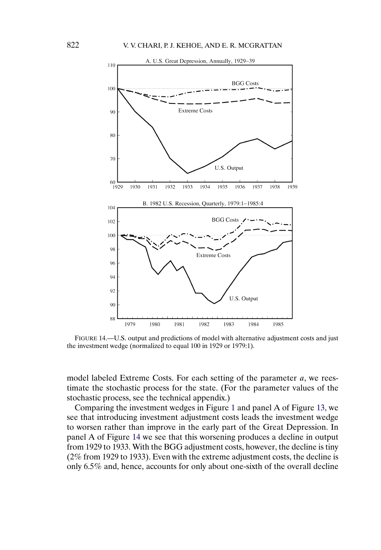<span id="page-41-0"></span>

FIGURE 14.—U.S. output and predictions of model with alternative adjustment costs and just the investment wedge (normalized to equal 100 in 1929 or 1979:1).

model labeled Extreme Costs. For each setting of the parameter  $a$ , we reestimate the stochastic process for the state. (For the parameter values of the stochastic process, see the technical appendix.)

Comparing the investment wedges in Figure [1](#page-20-0) and panel A of Figure [13,](#page-40-0) we see that introducing investment adjustment costs leads the investment wedge to worsen rather than improve in the early part of the Great Depression. In panel A of Figure 14 we see that this worsening produces a decline in output from 1929 to 1933. With the BGG adjustment costs, however, the decline is tiny (2% from 1929 to 1933). Even with the extreme adjustment costs, the decline is only 6.5% and, hence, accounts for only about one-sixth of the overall decline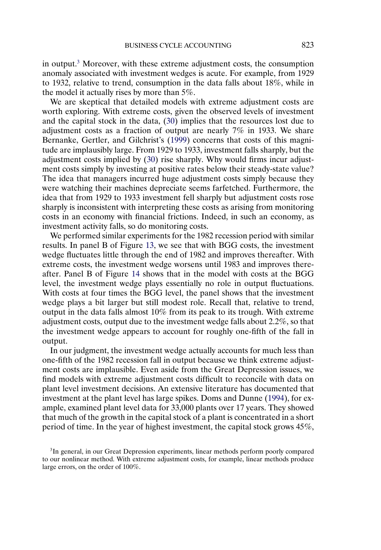<span id="page-42-0"></span>in output.3 Moreover, with these extreme adjustment costs, the consumption anomaly associated with investment wedges is acute. For example, from 1929 to 1932, relative to trend, consumption in the data falls about 18%, while in the model it actually rises by more than 5%.

We are skeptical that detailed models with extreme adjustment costs are worth exploring. With extreme costs, given the observed levels of investment and the capital stock in the data, [\(30\)](#page-38-0) implies that the resources lost due to adjustment costs as a fraction of output are nearly 7% in 1933. We share Bernanke, Gertler, and Gilchrist's [\(1999\)](#page-53-0) concerns that costs of this magnitude are implausibly large. From 1929 to 1933, investment falls sharply, but the adjustment costs implied by [\(30\)](#page-38-0) rise sharply. Why would firms incur adjustment costs simply by investing at positive rates below their steady-state value? The idea that managers incurred huge adjustment costs simply because they were watching their machines depreciate seems farfetched. Furthermore, the idea that from 1929 to 1933 investment fell sharply but adjustment costs rose sharply is inconsistent with interpreting these costs as arising from monitoring costs in an economy with financial frictions. Indeed, in such an economy, as investment activity falls, so do monitoring costs.

We performed similar experiments for the 1982 recession period with similar results. In panel B of Figure [13,](#page-40-0) we see that with BGG costs, the investment wedge fluctuates little through the end of 1982 and improves thereafter. With extreme costs, the investment wedge worsens until 1983 and improves thereafter. Panel B of Figure [14](#page-41-0) shows that in the model with costs at the BGG level, the investment wedge plays essentially no role in output fluctuations. With costs at four times the BGG level, the panel shows that the investment wedge plays a bit larger but still modest role. Recall that, relative to trend, output in the data falls almost 10% from its peak to its trough. With extreme adjustment costs, output due to the investment wedge falls about 2.2%, so that the investment wedge appears to account for roughly one-fifth of the fall in output.

In our judgment, the investment wedge actually accounts for much less than one-fifth of the 1982 recession fall in output because we think extreme adjustment costs are implausible. Even aside from the Great Depression issues, we find models with extreme adjustment costs difficult to reconcile with data on plant level investment decisions. An extensive literature has documented that investment at the plant level has large spikes. Doms and Dunne [\(1994\)](#page-54-0), for example, examined plant level data for 33,000 plants over 17 years. They showed that much of the growth in the capital stock of a plant is concentrated in a short period of time. In the year of highest investment, the capital stock grows 45%,

<sup>3</sup>In general, in our Great Depression experiments, linear methods perform poorly compared to our nonlinear method. With extreme adjustment costs, for example, linear methods produce large errors, on the order of 100%.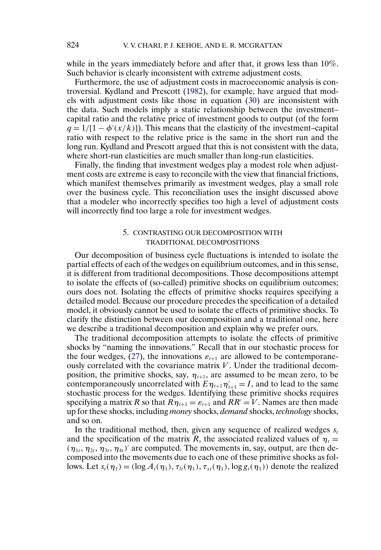<span id="page-43-0"></span>while in the years immediately before and after that, it grows less than  $10\%$ . Such behavior is clearly inconsistent with extreme adjustment costs.

Furthermore, the use of adjustment costs in macroeconomic analysis is controversial. Kydland and Prescott [\(1982\)](#page-54-0), for example, have argued that models with adjustment costs like those in equation [\(30\)](#page-38-0) are inconsistent with the data. Such models imply a static relationship between the investment– capital ratio and the relative price of investment goods to output (of the form  $q = 1/[1 - \phi'(x/k)]$ . This means that the elasticity of the investment-capital ratio with respect to the relative price is the same in the short run and the long run. Kydland and Prescott argued that this is not consistent with the data, where short-run elasticities are much smaller than long-run elasticities.

Finally, the finding that investment wedges play a modest role when adjustment costs are extreme is easy to reconcile with the view that financial frictions, which manifest themselves primarily as investment wedges, play a small role over the business cycle. This reconciliation uses the insight discussed above that a modeler who incorrectly specifies too high a level of adjustment costs will incorrectly find too large a role for investment wedges.

# 5. CONTRASTING OUR DECOMPOSITION WITH TRADITIONAL DECOMPOSITIONS

Our decomposition of business cycle fluctuations is intended to isolate the partial effects of each of the wedges on equilibrium outcomes, and in this sense, it is different from traditional decompositions. Those decompositions attempt to isolate the effects of (so-called) primitive shocks on equilibrium outcomes; ours does not. Isolating the effects of primitive shocks requires specifying a detailed model. Because our procedure precedes the specification of a detailed model, it obviously cannot be used to isolate the effects of primitive shocks. To clarify the distinction between our decomposition and a traditional one, here we describe a traditional decomposition and explain why we prefer ours.

The traditional decomposition attempts to isolate the effects of primitive shocks by "naming the innovations." Recall that in our stochastic process for the four wedges, [\(27\)](#page-17-0), the innovations  $\varepsilon_{t+1}$  are allowed to be contemporaneously correlated with the covariance matrix  $V$ . Under the traditional decomposition, the primitive shocks, say,  $\eta_{t+1}$ , are assumed to be mean zero, to be contemporaneously uncorrelated with  $E \eta_{t+1} \eta'_{t+1} = I$ , and to lead to the same stochastic process for the wedges. Identifying these primitive shocks requires specifying a matrix R so that  $R\eta_{t+1} = \varepsilon_{t+1}$  and  $RR' = V$ . Names are then made up for these shocks, including *money* shocks, *demand* shocks, *technology* shocks, and so on.

In the traditional method, then, given any sequence of realized wedges  $s_t$ and the specification of the matrix R, the associated realized values of  $\eta_t =$  $(\eta_{1t}, \eta_{2t}, \eta_{3t}, \eta_{4t})$  are computed. The movements in, say, output, are then decomposed into the movements due to each one of these primitive shocks as follows. Let  $s_t(\eta_1) = (\log A_t(\eta_1), \tau_{tt}(\eta_1), \tau_{xt}(\eta_1), \log g_t(\eta_1))$  denote the realized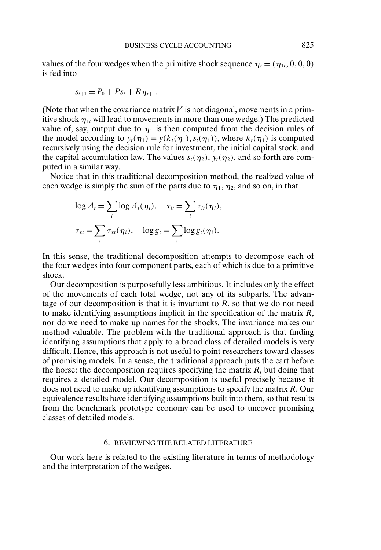values of the four wedges when the primitive shock sequence  $\eta_t = (\eta_{1t}, 0, 0, 0)$ is fed into

$$
s_{t+1} = P_0 + Ps_t + R\eta_{t+1}.
$$

(Note that when the covariance matrix  $V$  is not diagonal, movements in a primitive shock  $\eta_{1t}$  will lead to movements in more than one wedge.) The predicted value of, say, output due to  $\eta_1$  is then computed from the decision rules of the model according to  $y_t(\eta_1) = y(k_t(\eta_1), s_t(\eta_1))$ , where  $k_t(\eta_1)$  is computed recursively using the decision rule for investment, the initial capital stock, and the capital accumulation law. The values  $s_t(\eta_2)$ ,  $y_t(\eta_2)$ , and so forth are computed in a similar way.

Notice that in this traditional decomposition method, the realized value of each wedge is simply the sum of the parts due to  $\eta_1$ ,  $\eta_2$ , and so on, in that

$$
\log A_t = \sum_i \log A_t(\eta_i), \quad \tau_{lt} = \sum_i \tau_{lt}(\eta_i),
$$
  

$$
\tau_{xt} = \sum_i \tau_{xt}(\eta_i), \quad \log g_t = \sum_i \log g_t(\eta_i).
$$

In this sense, the traditional decomposition attempts to decompose each of the four wedges into four component parts, each of which is due to a primitive shock.

Our decomposition is purposefully less ambitious. It includes only the effect of the movements of each total wedge, not any of its subparts. The advantage of our decomposition is that it is invariant to  $R$ , so that we do not need to make identifying assumptions implicit in the specification of the matrix  $R$ , nor do we need to make up names for the shocks. The invariance makes our method valuable. The problem with the traditional approach is that finding identifying assumptions that apply to a broad class of detailed models is very difficult. Hence, this approach is not useful to point researchers toward classes of promising models. In a sense, the traditional approach puts the cart before the horse: the decomposition requires specifying the matrix  $R$ , but doing that requires a detailed model. Our decomposition is useful precisely because it does not need to make up identifying assumptions to specify the matrix R. Our equivalence results have identifying assumptions built into them, so that results from the benchmark prototype economy can be used to uncover promising classes of detailed models.

#### 6. REVIEWING THE RELATED LITERATURE

Our work here is related to the existing literature in terms of methodology and the interpretation of the wedges.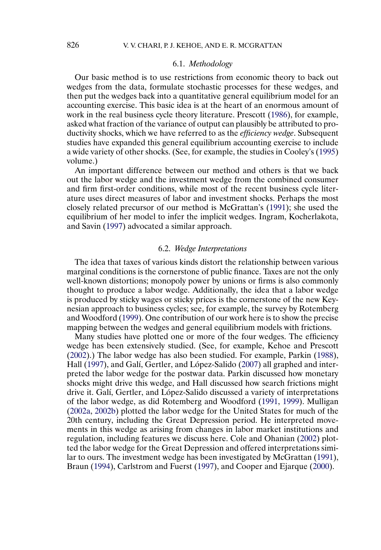#### 6.1. *Methodology*

<span id="page-45-0"></span>Our basic method is to use restrictions from economic theory to back out wedges from the data, formulate stochastic processes for these wedges, and then put the wedges back into a quantitative general equilibrium model for an accounting exercise. This basic idea is at the heart of an enormous amount of work in the real business cycle theory literature. Prescott [\(1986\)](#page-54-0), for example, asked what fraction of the variance of output can plausibly be attributed to productivity shocks, which we have referred to as the *efficiency wedge*. Subsequent studies have expanded this general equilibrium accounting exercise to include a wide variety of other shocks. (See, for example, the studies in Cooley's [\(1995\)](#page-54-0) volume.)

An important difference between our method and others is that we back out the labor wedge and the investment wedge from the combined consumer and firm first-order conditions, while most of the recent business cycle literature uses direct measures of labor and investment shocks. Perhaps the most closely related precursor of our method is McGrattan's [\(1991\)](#page-54-0); she used the equilibrium of her model to infer the implicit wedges. Ingram, Kocherlakota, and Savin [\(1997\)](#page-54-0) advocated a similar approach.

#### 6.2. *Wedge Interpretations*

The idea that taxes of various kinds distort the relationship between various marginal conditions is the cornerstone of public finance. Taxes are not the only well-known distortions; monopoly power by unions or firms is also commonly thought to produce a labor wedge. Additionally, the idea that a labor wedge is produced by sticky wages or sticky prices is the cornerstone of the new Keynesian approach to business cycles; see, for example, the survey by Rotemberg and Woodford [\(1999\)](#page-54-0). One contribution of our work here is to show the precise mapping between the wedges and general equilibrium models with frictions.

Many studies have plotted one or more of the four wedges. The efficiency wedge has been extensively studied. (See, for example, Kehoe and Prescott [\(2002\)](#page-54-0).) The labor wedge has also been studied. For example, Parkin [\(1988\)](#page-54-0), Hall [\(1997\)](#page-54-0), and Galí, Gertler, and López-Salido [\(2007\)](#page-54-0) all graphed and interpreted the labor wedge for the postwar data. Parkin discussed how monetary shocks might drive this wedge, and Hall discussed how search frictions might drive it. Galí, Gertler, and López-Salido discussed a variety of interpretations of the labor wedge, as did Rotemberg and Woodford [\(1991,](#page-54-0) [1999\)](#page-54-0). Mulligan [\(2002a,](#page-54-0) [2002b\)](#page-54-0) plotted the labor wedge for the United States for much of the 20th century, including the Great Depression period. He interpreted movements in this wedge as arising from changes in labor market institutions and regulation, including features we discuss here. Cole and Ohanian [\(2002\)](#page-54-0) plotted the labor wedge for the Great Depression and offered interpretations similar to ours. The investment wedge has been investigated by McGrattan [\(1991\)](#page-54-0), Braun [\(1994\)](#page-53-0), Carlstrom and Fuerst [\(1997\)](#page-53-0), and Cooper and Ejarque [\(2000\)](#page-54-0).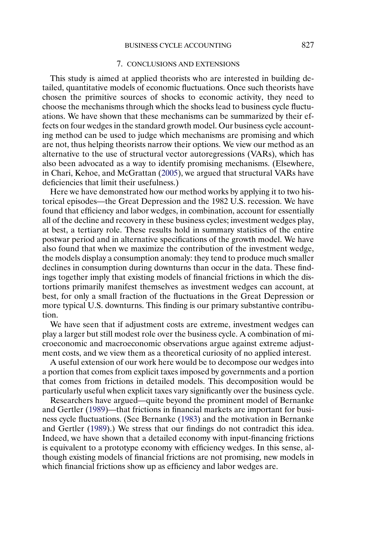# BUSINESS CYCLE ACCOUNTING 827

#### 7. CONCLUSIONS AND EXTENSIONS

<span id="page-46-0"></span>This study is aimed at applied theorists who are interested in building detailed, quantitative models of economic fluctuations. Once such theorists have chosen the primitive sources of shocks to economic activity, they need to choose the mechanisms through which the shocks lead to business cycle fluctuations. We have shown that these mechanisms can be summarized by their effects on four wedges in the standard growth model. Our business cycle accounting method can be used to judge which mechanisms are promising and which are not, thus helping theorists narrow their options. We view our method as an alternative to the use of structural vector autoregressions (VARs), which has also been advocated as a way to identify promising mechanisms. (Elsewhere, in Chari, Kehoe, and McGrattan [\(2005\)](#page-53-0), we argued that structural VARs have deficiencies that limit their usefulness.)

Here we have demonstrated how our method works by applying it to two historical episodes—the Great Depression and the 1982 U.S. recession. We have found that efficiency and labor wedges, in combination, account for essentially all of the decline and recovery in these business cycles; investment wedges play, at best, a tertiary role. These results hold in summary statistics of the entire postwar period and in alternative specifications of the growth model. We have also found that when we maximize the contribution of the investment wedge, the models display a consumption anomaly: they tend to produce much smaller declines in consumption during downturns than occur in the data. These findings together imply that existing models of financial frictions in which the distortions primarily manifest themselves as investment wedges can account, at best, for only a small fraction of the fluctuations in the Great Depression or more typical U.S. downturns. This finding is our primary substantive contribution.

We have seen that if adjustment costs are extreme, investment wedges can play a larger but still modest role over the business cycle. A combination of microeconomic and macroeconomic observations argue against extreme adjustment costs, and we view them as a theoretical curiosity of no applied interest.

A useful extension of our work here would be to decompose our wedges into a portion that comes from explicit taxes imposed by governments and a portion that comes from frictions in detailed models. This decomposition would be particularly useful when explicit taxes vary significantly over the business cycle.

Researchers have argued—quite beyond the prominent model of Bernanke and Gertler [\(1989\)](#page-53-0)—that frictions in financial markets are important for business cycle fluctuations. (See Bernanke [\(1983\)](#page-53-0) and the motivation in Bernanke and Gertler [\(1989\)](#page-53-0).) We stress that our findings do not contradict this idea. Indeed, we have shown that a detailed economy with input-financing frictions is equivalent to a prototype economy with efficiency wedges. In this sense, although existing models of financial frictions are not promising, new models in which financial frictions show up as efficiency and labor wedges are.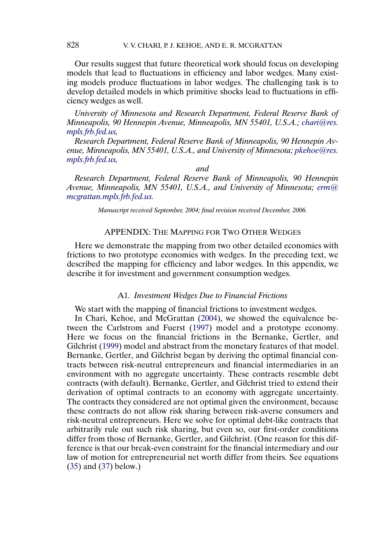<span id="page-47-0"></span>Our results suggest that future theoretical work should focus on developing models that lead to fluctuations in efficiency and labor wedges. Many existing models produce fluctuations in labor wedges. The challenging task is to develop detailed models in which primitive shocks lead to fluctuations in efficiency wedges as well.

*University of Minnesota and Research Department, Federal Reserve Bank of Minneapolis, 90 Hennepin Avenue, Minneapolis, MN 55401, U.S.A.; [chari@res.](mailto:chari@res.mpls.frb.fed.us) [mpls.frb.fed.us](mailto:chari@res.mpls.frb.fed.us),*

*Research Department, Federal Reserve Bank of Minneapolis, 90 Hennepin Avenue, Minneapolis, MN 55401, U.S.A., and University of Minnesota; [pkehoe@res.](mailto:pkehoe@res.mpls.frb.fed.us) [mpls.frb.fed.us](mailto:pkehoe@res.mpls.frb.fed.us),*

*and*

*Research Department, Federal Reserve Bank of Minneapolis, 90 Hennepin Avenue, Minneapolis, MN 55401, U.S.A., and University of Minnesota; [erm@](mailto:erm@mcgrattan.mpls.frb.fed.us) [mcgrattan.mpls.frb.fed.us](mailto:erm@mcgrattan.mpls.frb.fed.us).*

*Manuscript received September, 2004; final revision received December, 2006.*

#### APPENDIX: THE MAPPING FOR TWO OTHER WEDGES

Here we demonstrate the mapping from two other detailed economies with frictions to two prototype economies with wedges. In the preceding text, we described the mapping for efficiency and labor wedges. In this appendix, we describe it for investment and government consumption wedges.

# A1. *Investment Wedges Due to Financial Frictions*

We start with the mapping of financial frictions to investment wedges.

In Chari, Kehoe, and McGrattan [\(2004\)](#page-53-0), we showed the equivalence between the Carlstrom and Fuerst [\(1997\)](#page-53-0) model and a prototype economy. Here we focus on the financial frictions in the Bernanke, Gertler, and Gilchrist [\(1999\)](#page-53-0) model and abstract from the monetary features of that model. Bernanke, Gertler, and Gilchrist began by deriving the optimal financial contracts between risk-neutral entrepreneurs and financial intermediaries in an environment with no aggregate uncertainty. These contracts resemble debt contracts (with default). Bernanke, Gertler, and Gilchrist tried to extend their derivation of optimal contracts to an economy with aggregate uncertainty. The contracts they considered are not optimal given the environment, because these contracts do not allow risk sharing between risk-averse consumers and risk-neutral entrepreneurs. Here we solve for optimal debt-like contracts that arbitrarily rule out such risk sharing, but even so, our first-order conditions differ from those of Bernanke, Gertler, and Gilchrist. (One reason for this difference is that our break-even constraint for the financial intermediary and our law of motion for entrepreneurial net worth differ from theirs. See equations [\(35\)](#page-48-0) and [\(37\)](#page-49-0) below.)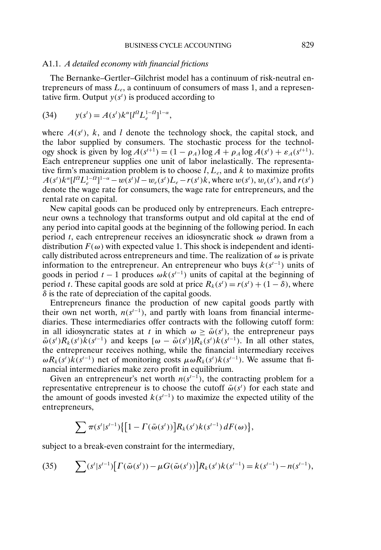# <span id="page-48-0"></span>A1.1. *A detailed economy with financial frictions*

The Bernanke–Gertler–Gilchrist model has a continuum of risk-neutral entrepreneurs of mass  $L_e$ , a continuum of consumers of mass 1, and a representative firm. Output  $y(s^t)$  is produced according to

(34) 
$$
y(s^t) = A(s^t)k^{\alpha}[l^{\Omega}L_e^{1-\Omega}]^{1-\alpha},
$$

where  $A(s^t)$ , k, and l denote the technology shock, the capital stock, and the labor supplied by consumers. The stochastic process for the technology shock is given by  $\log A(s^{t+1}) = (1 - \rho_A) \log A + \rho_A \log A(s^t) + \varepsilon_A(s^{t+1}).$ Each entrepreneur supplies one unit of labor inelastically. The representative firm's maximization problem is to choose  $l, L_e$ , and k to maximize profits  $A(s^t)k^{\alpha}[l^{\Omega}L_e^{1-\Omega}]^{1-\alpha} - w(s^t)l - w_e(s^t)L_e - r(s^t)k$ , where  $w(s^t)$ ,  $w_e(s^t)$ , and  $r(s^t)$ denote the wage rate for consumers, the wage rate for entrepreneurs, and the rental rate on capital.

New capital goods can be produced only by entrepreneurs. Each entrepreneur owns a technology that transforms output and old capital at the end of any period into capital goods at the beginning of the following period. In each period t, each entrepreneur receives an idiosyncratic shock  $\omega$  drawn from a distribution  $F(\omega)$  with expected value 1. This shock is independent and identically distributed across entrepreneurs and time. The realization of  $\omega$  is private information to the entrepreneur. An entrepreneur who buys  $k(s^{t-1})$  units of goods in period  $t - 1$  produces  $\omega k(s^{t-1})$  units of capital at the beginning of period *t*. These capital goods are sold at price  $R_k(s^t) = r(s^t) + (1 - \delta)$ , where  $\delta$  is the rate of depreciation of the capital goods.

Entrepreneurs finance the production of new capital goods partly with their own net worth,  $n(s^{t-1})$ , and partly with loans from financial intermediaries. These intermediaries offer contracts with the following cutoff form: in all idiosyncratic states at t in which  $\omega \geq \bar{\omega}(s^t)$ , the entrepreneur pays  $\bar{\omega}(s^t)R_k(s^t)k(s^{t-1})$  and keeps  $[\omega - \bar{\omega}(s^t)]R_k(s^t)k(s^{t-1})$ . In all other states, the entrepreneur receives nothing, while the financial intermediary receives ω $R_k(s^t)k(s^{t-1})$  net of monitoring costs  $\mu \omega R_k(s^t)k(s^{t-1})$ . We assume that financial intermediaries make zero profit in equilibrium.

Given an entrepreneur's net worth  $n(s^{t-1})$ , the contracting problem for a representative entrepreneur is to choose the cutoff  $\bar{\omega}(s^t)$  for each state and the amount of goods invested  $k(s^{t-1})$  to maximize the expected utility of the entrepreneurs,

$$
\sum \pi(s^t|s^{t-1})\{[1-\Gamma(\bar{\omega}(s^t))]R_k(s^t)k(s^{t-1})dF(\omega)\},\
$$

subject to a break-even constraint for the intermediary,

(35) 
$$
\sum (s^t|s^{t-1}) \Big[ \Gamma(\bar{\omega}(s^t)) - \mu G(\bar{\omega}(s^t)) \Big] R_k(s^t) k(s^{t-1}) = k(s^{t-1}) - n(s^{t-1}),
$$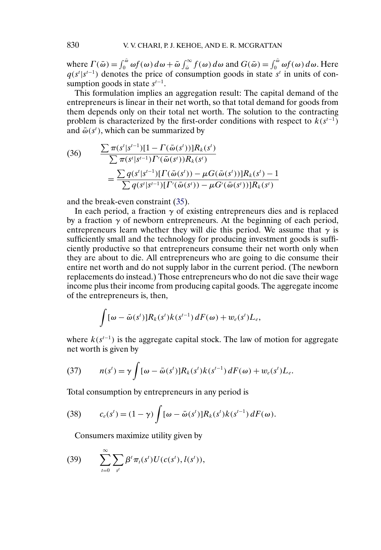<span id="page-49-0"></span>where  $\Gamma(\bar{\omega}) = \int_0^{\bar{\omega}} \omega f(\omega) d\omega + \bar{\omega} \int_{\bar{\omega}}^{\infty} f(\omega) d\omega$  and  $G(\bar{\omega}) = \int_0^{\bar{\omega}} \omega f(\omega) d\omega$ . Here  $q(s^t | s^{t-1})$  denotes the price of consumption goods in state s<sup>t</sup> in units of consumption goods in state  $s^{t-1}$ .

This formulation implies an aggregation result: The capital demand of the entrepreneurs is linear in their net worth, so that total demand for goods from them depends only on their total net worth. The solution to the contracting problem is characterized by the first-order conditions with respect to  $k(s^{t-1})$ and  $\bar{\omega}(s^t)$ , which can be summarized by

(36) 
$$
\frac{\sum \pi(s^t | s^{t-1}) [1 - \Gamma(\bar{\omega}(s^t))] R_k(s^t)}{\sum \pi(s^t | s^{t-1}) \Gamma'(\bar{\omega}(s^t)) R_k(s^t)} \n= \frac{\sum q(s^t | s^{t-1}) [\Gamma(\bar{\omega}(s^t)) - \mu G(\bar{\omega}(s^t))] R_k(s^t) - 1}{\sum q(s^t | s^{t-1}) [\Gamma'(\bar{\omega}(s^t)) - \mu G'(\bar{\omega}(s^t))] R_k(s^t)}
$$

and the break-even constraint [\(35\)](#page-48-0).

In each period, a fraction  $\gamma$  of existing entrepreneurs dies and is replaced by a fraction  $\gamma$  of newborn entrepreneurs. At the beginning of each period, entrepreneurs learn whether they will die this period. We assume that  $\gamma$  is sufficiently small and the technology for producing investment goods is sufficiently productive so that entrepreneurs consume their net worth only when they are about to die. All entrepreneurs who are going to die consume their entire net worth and do not supply labor in the current period. (The newborn replacements do instead.) Those entrepreneurs who do not die save their wage income plus their income from producing capital goods. The aggregate income of the entrepreneurs is, then,

$$
\int [\omega - \bar{\omega}(s^t)] R_k(s^t) k(s^{t-1}) dF(\omega) + w_e(s^t) L_e,
$$

where  $k(s^{t-1})$  is the aggregate capital stock. The law of motion for aggregate net worth is given by

(37) 
$$
n(s^t) = \gamma \int [\omega - \bar{\omega}(s^t)] R_k(s^t) k(s^{t-1}) dF(\omega) + w_e(s^t) L_e.
$$

Total consumption by entrepreneurs in any period is

(38) 
$$
c_e(s^t) = (1 - \gamma) \int [\omega - \bar{\omega}(s^t)] R_k(s^t) k(s^{t-1}) dF(\omega).
$$

Consumers maximize utility given by

(39) 
$$
\sum_{t=0}^{\infty} \sum_{s^t} \beta^t \pi_t(s^t) U(c(s^t), l(s^t)),
$$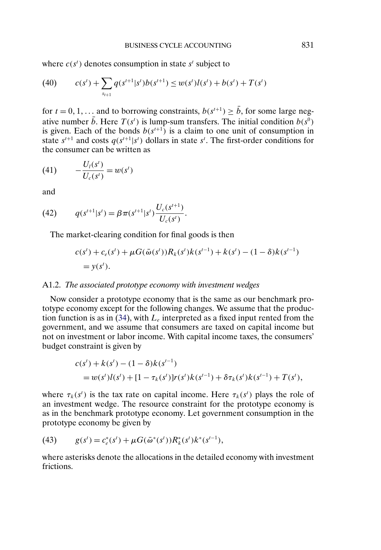<span id="page-50-0"></span>where  $c(s^t)$  denotes consumption in state  $s^t$  subject to

(40) 
$$
c(s^{t}) + \sum_{s_{t+1}} q(s^{t+1}|s^{t})b(s^{t+1}) \leq w(s^{t})l(s^{t}) + b(s^{t}) + T(s^{t})
$$

for  $t = 0, 1, \dots$  and to borrowing constraints,  $b(s^{t+1}) \ge \bar{b}$ , for some large negative number  $\bar{b}$ . Here  $T(s^t)$  is lump-sum transfers. The initial condition  $b(s^0)$ is given. Each of the bonds  $b(s^{t+1})$  is a claim to one unit of consumption in state  $s^{t+1}$  and costs  $q(s^{t+1}|s^t)$  dollars in state  $s^t$ . The first-order conditions for the consumer can be written as

(41) 
$$
-\frac{U_l(s^t)}{U_c(s^t)} = w(s^t)
$$

and

(42) 
$$
q(s^{t+1}|s^t) = \beta \pi(s^{t+1}|s^t) \frac{U_c(s^{t+1})}{U_c(s^t)}.
$$

The market-clearing condition for final goods is then

$$
c(s^{t}) + c_{\epsilon}(s^{t}) + \mu G(\bar{\omega}(s^{t}))R_{k}(s^{t})k(s^{t-1}) + k(s^{t}) - (1 - \delta)k(s^{t-1})
$$
  
=  $y(s^{t}).$ 

## A1.2. *The associated prototype economy with investment wedges*

Now consider a prototype economy that is the same as our benchmark prototype economy except for the following changes. We assume that the produc-tion function is as in [\(34\)](#page-48-0), with  $L_e$  interpreted as a fixed input rented from the government, and we assume that consumers are taxed on capital income but not on investment or labor income. With capital income taxes, the consumers' budget constraint is given by

$$
c(s^{t}) + k(s^{t}) - (1 - \delta)k(s^{t-1})
$$
  
=  $w(s^{t})l(s^{t}) + [1 - \tau_{k}(s^{t})]r(s^{t})k(s^{t-1}) + \delta\tau_{k}(s^{t})k(s^{t-1}) + T(s^{t}),$ 

where  $\tau_k(s^t)$  is the tax rate on capital income. Here  $\tau_k(s^t)$  plays the role of an investment wedge. The resource constraint for the prototype economy is as in the benchmark prototype economy. Let government consumption in the prototype economy be given by

(43) 
$$
g(s^t) = c_e^*(s^t) + \mu G(\bar{\omega}^*(s^t)) R_k^*(s^t) k^*(s^{t-1}),
$$

where asterisks denote the allocations in the detailed economy with investment frictions.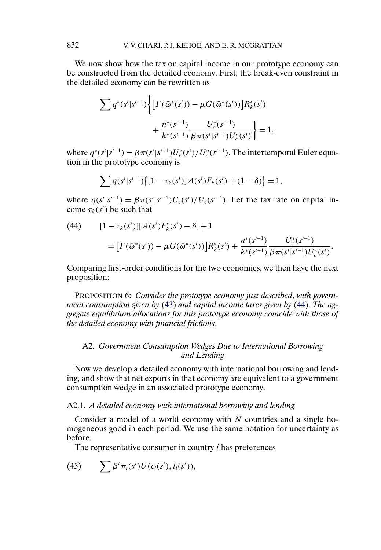<span id="page-51-0"></span>We now show how the tax on capital income in our prototype economy can be constructed from the detailed economy. First, the break-even constraint in the detailed economy can be rewritten as

$$
\sum q^*(s^t|s^{t-1}) \left\{ \left[ \Gamma(\bar{\omega}^*(s^t)) - \mu G(\bar{\omega}^*(s^t)) \right] R_k^*(s^t) + \frac{n^*(s^{t-1})}{k^*(s^{t-1})} \frac{U_c^*(s^{t-1})}{\beta \pi(s^t|s^{t-1}) U_c^*(s^t)} \right\} = 1,
$$

where  $q^*(s^t | s^{t-1}) = \beta \pi(s^t | s^{t-1}) U_c^*(s^t) / U_c^*(s^{t-1})$ . The intertemporal Euler equation in the prototype economy is

$$
\sum q(s^t|s^{t-1})\{[1-\tau_k(s^t)]A(s^t)F_k(s^t)+(1-\delta)\}=1,
$$

where  $q(s^t|s^{t-1}) = \beta \pi(s^t|s^{t-1}) U_c(s^t) / U_c(s^{t-1})$ . Let the tax rate on capital income  $\tau_k(s^t)$  be such that

(44) 
$$
[1 - \tau_k(s^t)][A(s^t)F_k^*(s^t) - \delta] + 1
$$

$$
= [ \Gamma(\bar{\omega}^*(s^t)) - \mu G(\bar{\omega}^*(s^t))]R_k^*(s^t) + \frac{n^*(s^{t-1})}{k^*(s^{t-1})} \frac{U_c^*(s^{t-1})}{\beta \pi(s^t | s^{t-1}) U_c^*(s^t)}.
$$

Comparing first-order conditions for the two economies, we then have the next proposition:

PROPOSITION 6: *Consider the prototype economy just described*, *with government consumption given by* [\(43\)](#page-50-0) *and capital income taxes given by* (44). *The aggregate equilibrium allocations for this prototype economy coincide with those of the detailed economy with financial frictions*.

# A2. *Government Consumption Wedges Due to International Borrowing and Lending*

Now we develop a detailed economy with international borrowing and lending, and show that net exports in that economy are equivalent to a government consumption wedge in an associated prototype economy.

# A2.1. *A detailed economy with international borrowing and lending*

Consider a model of a world economy with  $N$  countries and a single homogeneous good in each period. We use the same notation for uncertainty as before.

The representative consumer in country  $i$  has preferences

$$
(45) \qquad \sum \beta^t \pi_t(s^t) U(c_i(s^t), l_i(s^t)),
$$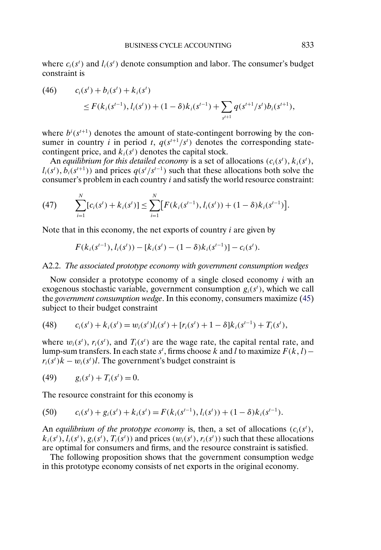<span id="page-52-0"></span>where  $c_i(s^t)$  and  $l_i(s^t)$  denote consumption and labor. The consumer's budget constraint is

(46) 
$$
c_i(s^t) + b_i(s^t) + k_i(s^t) \n\leq F(k_i(s^{t-1}), l_i(s^t)) + (1 - \delta)k_i(s^{t-1}) + \sum_{s^{t+1}} q(s^{t+1}/s^t) b_i(s^{t+1}),
$$

where  $b^{i}(s^{t+1})$  denotes the amount of state-contingent borrowing by the consumer in country *i* in period *t*,  $q(s^{t+1}/s^t)$  denotes the corresponding statecontingent price, and  $k_i(s^t)$  denotes the capital stock.

An *equilibrium for this detailed economy* is a set of allocations  $(c_i(s^t), k_i(s^t))$ ,  $l_i(s^t)$ ,  $b_i(s^{t+1})$  and prices  $q(s^t/s^{t-1})$  such that these allocations both solve the consumer's problem in each country i and satisfy the world resource constraint:

(47) 
$$
\sum_{i=1}^N[c_i(s^t) + k_i(s^t)] \leq \sum_{i=1}^N [F(k_i(s^{t-1}), l_i(s^t)) + (1-\delta)k_i(s^{t-1})].
$$

Note that in this economy, the net exports of country  $i$  are given by

$$
F(k_i(s^{t-1}), l_i(s^t)) - [k_i(s^t) - (1-\delta)k_i(s^{t-1})] - c_i(s^t).
$$

# A2.2. *The associated prototype economy with government consumption wedges*

Now consider a prototype economy of a single closed economy  $i$  with an exogenous stochastic variable, government consumption  $g_i(s^t)$ , which we call the *government consumption wedge*. In this economy, consumers maximize [\(45\)](#page-51-0) subject to their budget constraint

(48) 
$$
c_i(s^t) + k_i(s^t) = w_i(s^t)l_i(s^t) + [r_i(s^t) + 1 - \delta]k_i(s^{t-1}) + T_i(s^t),
$$

where  $w_i(s^t)$ ,  $r_i(s^t)$ , and  $T_i(s^t)$  are the wage rate, the capital rental rate, and lump-sum transfers. In each state  $s<sup>t</sup>$ , firms choose k and l to maximize  $F(k, l)$  –  $r_i(s^t)k - w_i(s^t)l$ . The government's budget constraint is

(49) 
$$
g_i(s^t) + T_i(s^t) = 0.
$$

The resource constraint for this economy is

(50) 
$$
c_i(s^t) + g_i(s^t) + k_i(s^t) = F(k_i(s^{t-1}), l_i(s^t)) + (1 - \delta)k_i(s^{t-1}).
$$

An *equilibrium of the prototype economy* is, then, a set of allocations  $(c_i(s^t))$ ,  $k_i(s^t), l_i(s^t), g_i(s^t), T_i(s^t))$  and prices  $(w_i(s^t), r_i(s^t))$  such that these allocations are optimal for consumers and firms, and the resource constraint is satisfied.

The following proposition shows that the government consumption wedge in this prototype economy consists of net exports in the original economy.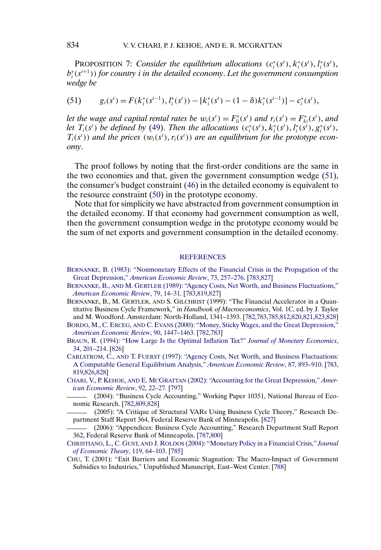<span id="page-53-0"></span>PROPOSITION 7: *Consider the equilibrium allocations*  $(c_i^*(s^t), k_i^*(s^t), l_i^*(s^t))$ , b∗ <sup>i</sup> (st<sup>+</sup><sup>1</sup> )) *for country* i *in the detailed economy*. *Let the government consumption wedge be*

(51) 
$$
g_i(s^t) = F(k_i^*(s^{t-1}), l_i^*(s^t)) - [k_i^*(s^t) - (1 - \delta)k_i^*(s^{t-1})] - c_i^*(s^t),
$$

*let the wage and capital rental rates be*  $w_i(s^t) = F_{li}^*(s^t)$  *and*  $r_i(s^t) = F_{ki}^*(s^t)$ *, and let*  $T_i(s^t)$  *be defined by* [\(49\)](#page-52-0). *Then the allocations*  $(c_i^*(s^t), k_i^*(s^t), l_i^*(s^t), g_i^*(s^t),$  $T_i(s^t)$ ) and the prices  $(w_i(s^t), r_i(s^t))$  are an equilibrium for the prototype econ*omy*.

The proof follows by noting that the first-order conditions are the same in the two economies and that, given the government consumption wedge (51), the consumer's budget constraint [\(46\)](#page-52-0) in the detailed economy is equivalent to the resource constraint [\(50\)](#page-52-0) in the prototype economy.

Note that for simplicity we have abstracted from government consumption in the detailed economy. If that economy had government consumption as well, then the government consumption wedge in the prototype economy would be the sum of net exports and government consumption in the detailed economy.

#### **[REFERENCES](http://www.e-publications.org/srv/ecta/linkserver/setprefs?rfe_id=urn:sici%2F0012-9682%28200705%2975%3A3%3C781%3ABCA%3E2.0.CO%3B2-8)**

- [BERNANKE, B. \(1983\): "Nonmonetary Effects of the Financial Crisis in the Propagation of the](http://www.e-publications.org/srv/ecta/linkserver/openurl?rft_dat=bib:1/ber83&rfe_id=urn:sici%2F0012-9682%28200705%2975%3A3%3C781%3ABCA%3E2.0.CO%3B2-8) Great Depression," *[American Economic Review](http://www.e-publications.org/srv/ecta/linkserver/openurl?rft_dat=bib:1/ber83&rfe_id=urn:sici%2F0012-9682%28200705%2975%3A3%3C781%3ABCA%3E2.0.CO%3B2-8)*, 73, 257–276. [\[783,827\]](#page-2-0)
- BERNANKE, B., AND M. GERTLER [\(1989\): "Agency Costs, Net Worth, and Business Fluctuations,"](http://www.e-publications.org/srv/ecta/linkserver/openurl?rft_dat=bib:2/berGet89&rfe_id=urn:sici%2F0012-9682%28200705%2975%3A3%3C781%3ABCA%3E2.0.CO%3B2-8) *[American Economic Review](http://www.e-publications.org/srv/ecta/linkserver/openurl?rft_dat=bib:2/berGet89&rfe_id=urn:sici%2F0012-9682%28200705%2975%3A3%3C781%3ABCA%3E2.0.CO%3B2-8)*, 79, 14–31. [\[783,819](#page-2-0)[,827\]](#page-38-0)
- BERNANKE, B., M. GERTLER, AND S. GILCHRIST (1999): "The Financial Accelerator in a Quantitative Business Cycle Framework," in *Handbook of Macroeconomics*, Vol. 1C, ed. by J. Taylor and M. Woodford. Amsterdam: North-Holland, 1341–1393. [\[782,783](#page-1-0)[,785](#page-2-0)[,812,](#page-4-0)[820,](#page-31-0)[821,](#page-39-0)[823](#page-40-0)[,828\]](#page-42-0)
- BORDO, M., C. ERCEG, AND C. EVANS [\(2000\): "Money, Sticky Wages, and the Great Depression,"](http://www.e-publications.org/srv/ecta/linkserver/openurl?rft_dat=bib:4/borErcEva00&rfe_id=urn:sici%2F0012-9682%28200705%2975%3A3%3C781%3ABCA%3E2.0.CO%3B2-8) *[American Economic Review](http://www.e-publications.org/srv/ecta/linkserver/openurl?rft_dat=bib:4/borErcEva00&rfe_id=urn:sici%2F0012-9682%28200705%2975%3A3%3C781%3ABCA%3E2.0.CO%3B2-8)*, 90, 1447–1463. [\[782,783\]](#page-1-0)
- [BRAUN, R. \(1994\): "How Large Is the Optimal Inflation Tax?"](http://www.e-publications.org/srv/ecta/linkserver/openurl?rft_dat=bib:5/bra94&rfe_id=urn:sici%2F0012-9682%28200705%2975%3A3%3C781%3ABCA%3E2.0.CO%3B2-8) *Journal of Monetary Economics*, [34, 201–214.](http://www.e-publications.org/srv/ecta/linkserver/openurl?rft_dat=bib:5/bra94&rfe_id=urn:sici%2F0012-9682%28200705%2975%3A3%3C781%3ABCA%3E2.0.CO%3B2-8) [\[826\]](#page-45-0)
- CARLSTROM, C., AND T. FUERST [\(1997\): "Agency Costs, Net Worth, and Business Fluctuations:](http://www.e-publications.org/srv/ecta/linkserver/openurl?rft_dat=bib:6/carFue97&rfe_id=urn:sici%2F0012-9682%28200705%2975%3A3%3C781%3ABCA%3E2.0.CO%3B2-8) [A Computable General Equilibrium Analysis,"](http://www.e-publications.org/srv/ecta/linkserver/openurl?rft_dat=bib:6/carFue97&rfe_id=urn:sici%2F0012-9682%28200705%2975%3A3%3C781%3ABCA%3E2.0.CO%3B2-8) *American Economic Review*, 87, 893–910. [\[783,](#page-2-0) [819,826,](#page-38-0)[828\]](#page-45-0)
- CHARI, V., P. KEHOE, AND E. MCGRATTAN [\(2002\): "Accounting for the Great Depression,"](http://www.e-publications.org/srv/ecta/linkserver/openurl?rft_dat=bib:7/chaKehMcg02&rfe_id=urn:sici%2F0012-9682%28200705%2975%3A3%3C781%3ABCA%3E2.0.CO%3B2-8) *Amer[ican Economic Review](http://www.e-publications.org/srv/ecta/linkserver/openurl?rft_dat=bib:7/chaKehMcg02&rfe_id=urn:sici%2F0012-9682%28200705%2975%3A3%3C781%3ABCA%3E2.0.CO%3B2-8)*, 92, 22–27. [\[797\]](#page-16-0)
	- (2004): "Business Cycle Accounting," Working Paper 10351, National Bureau of Economic Research. [\[782,809,](#page-1-0)[828\]](#page-28-0)
- (2005): "A Critique of Structural VARs Using Business Cycle Theory," Research Department Staff Report 364, Federal Reserve Bank of Minneapolis. [\[827\]](#page-46-0)
- (2006): "Appendices: Business Cycle Accounting," Research Department Staff Report 362, Federal Reserve Bank of Minneapolis. [\[787,800\]](#page-6-0)
- CHRISTIANO, L., C. GUST, AND J. ROLDOS [\(2004\): "Monetary Policy in a Financial Crisis,"](http://www.e-publications.org/srv/ecta/linkserver/openurl?rft_dat=bib:11/chrGusRol04&rfe_id=urn:sici%2F0012-9682%28200705%2975%3A3%3C781%3ABCA%3E2.0.CO%3B2-8) *Journal [of Economic Theory](http://www.e-publications.org/srv/ecta/linkserver/openurl?rft_dat=bib:11/chrGusRol04&rfe_id=urn:sici%2F0012-9682%28200705%2975%3A3%3C781%3ABCA%3E2.0.CO%3B2-8)*, 119, 64–103. [\[785\]](#page-4-0)
- CHU, T. (2001): "Exit Barriers and Economic Stagnation: The Macro-Impact of Government Subsidies to Industries," Unpublished Manuscript, East–West Center. [\[788\]](#page-7-0)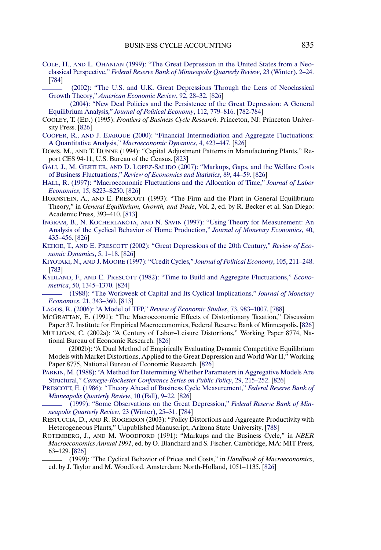- <span id="page-54-0"></span>COLE, H., AND L. OHANIAN [\(1999\): "The Great Depression in the United States from a Neo](http://www.e-publications.org/srv/ecta/linkserver/openurl?rft_dat=bib:13/colOba99&rfe_id=urn:sici%2F0012-9682%28200705%2975%3A3%3C781%3ABCA%3E2.0.CO%3B2-8)classical Perspective," *[Federal Reserve Bank of Minneapolis Quarterly Review](http://www.e-publications.org/srv/ecta/linkserver/openurl?rft_dat=bib:13/colOba99&rfe_id=urn:sici%2F0012-9682%28200705%2975%3A3%3C781%3ABCA%3E2.0.CO%3B2-8)*, 23 (Winter), 2–24. [\[784\]](#page-3-0)
	- [\(2002\): "The U.S. and U.K. Great Depressions Through the Lens of Neoclassical](http://www.e-publications.org/srv/ecta/linkserver/openurl?rft_dat=bib:14/colOba02&rfe_id=urn:sici%2F0012-9682%28200705%2975%3A3%3C781%3ABCA%3E2.0.CO%3B2-8) Growth Theory," *[American Economic Review](http://www.e-publications.org/srv/ecta/linkserver/openurl?rft_dat=bib:14/colOba02&rfe_id=urn:sici%2F0012-9682%28200705%2975%3A3%3C781%3ABCA%3E2.0.CO%3B2-8)*, 92, 28–32. [\[826\]](#page-45-0)
- [\(2004\): "New Deal Policies and the Persistence of the Great Depression: A General](http://www.e-publications.org/srv/ecta/linkserver/openurl?rft_dat=bib:15/colOba04&rfe_id=urn:sici%2F0012-9682%28200705%2975%3A3%3C781%3ABCA%3E2.0.CO%3B2-8) Equilibrium Analysis," *[Journal of Political Economy](http://www.e-publications.org/srv/ecta/linkserver/openurl?rft_dat=bib:15/colOba04&rfe_id=urn:sici%2F0012-9682%28200705%2975%3A3%3C781%3ABCA%3E2.0.CO%3B2-8)*, 112, 779–816. [\[782-784\]](#page-1-0)
- COOLEY, T. (ED.) (1995): *Frontiers of Business Cycle Research*. Princeton, NJ: Princeton University Press. [\[826\]](#page-45-0)
- COOPER, R., AND J. EJARQUE [\(2000\): "Financial Intermediation and Aggregate Fluctuations:](http://www.e-publications.org/srv/ecta/linkserver/openurl?rft_dat=bib:17/cooEja00&rfe_id=urn:sici%2F0012-9682%28200705%2975%3A3%3C781%3ABCA%3E2.0.CO%3B2-8) A Quantitative Analysis," *[Macroeconomic Dynamics](http://www.e-publications.org/srv/ecta/linkserver/openurl?rft_dat=bib:17/cooEja00&rfe_id=urn:sici%2F0012-9682%28200705%2975%3A3%3C781%3ABCA%3E2.0.CO%3B2-8)*, 4, 423–447. [\[826\]](#page-45-0)
- DOMS, M., AND T. DUNNE (1994): "Capital Adjustment Patterns in Manufacturing Plants," Report CES 94-11, U.S. Bureau of the Census. [\[823\]](#page-42-0)
- GALI, J., M. GERTLER, AND D. LOPEZ-SALIDO [\(2007\): "Markups, Gaps, and the Welfare Costs](http://www.e-publications.org/srv/ecta/linkserver/openurl?rft_dat=bib:19/galGerLop07&rfe_id=urn:sici%2F0012-9682%28200705%2975%3A3%3C781%3ABCA%3E2.0.CO%3B2-8) of Business Fluctuations," *[Review of Economics and Statistics](http://www.e-publications.org/srv/ecta/linkserver/openurl?rft_dat=bib:19/galGerLop07&rfe_id=urn:sici%2F0012-9682%28200705%2975%3A3%3C781%3ABCA%3E2.0.CO%3B2-8)*, 89, 44–59. [\[826\]](#page-45-0)
- [HALL, R. \(1997\): "Macroeconomic Fluctuations and the Allocation of Time,"](http://www.e-publications.org/srv/ecta/linkserver/openurl?rft_dat=bib:20/hal97&rfe_id=urn:sici%2F0012-9682%28200705%2975%3A3%3C781%3ABCA%3E2.0.CO%3B2-8) *Journal of Labor Economics*[, 15, S223–S250.](http://www.e-publications.org/srv/ecta/linkserver/openurl?rft_dat=bib:20/hal97&rfe_id=urn:sici%2F0012-9682%28200705%2975%3A3%3C781%3ABCA%3E2.0.CO%3B2-8) [\[826\]](#page-45-0)
- HORNSTEIN, A., AND E. PRESCOTT (1993): "The Firm and the Plant in General Equilibrium Theory," in *General Equilibrium, Growth, and Trade*, Vol. 2, ed. by R. Becker et al. San Diego: Academic Press, 393–410. [\[813\]](#page-32-0)
- INGRAM, B., N. KOCHERLAKOTA, AND N. SAVIN [\(1997\): "Using Theory for Measurement: An](http://www.e-publications.org/srv/ecta/linkserver/openurl?rft_dat=bib:22/ingKocSav97&rfe_id=urn:sici%2F0012-9682%28200705%2975%3A3%3C781%3ABCA%3E2.0.CO%3B2-8) [Analysis of the Cyclical Behavior of Home Production,"](http://www.e-publications.org/srv/ecta/linkserver/openurl?rft_dat=bib:22/ingKocSav97&rfe_id=urn:sici%2F0012-9682%28200705%2975%3A3%3C781%3ABCA%3E2.0.CO%3B2-8) *Journal of Monetary Economics*, 40, [435–456.](http://www.e-publications.org/srv/ecta/linkserver/openurl?rft_dat=bib:22/ingKocSav97&rfe_id=urn:sici%2F0012-9682%28200705%2975%3A3%3C781%3ABCA%3E2.0.CO%3B2-8) [\[826\]](#page-45-0)
- KEHOE, T., AND E. PRESCOTT [\(2002\): "Great Depressions of the 20th Century,"](http://www.e-publications.org/srv/ecta/linkserver/openurl?rft_dat=bib:23/kehPre02&rfe_id=urn:sici%2F0012-9682%28200705%2975%3A3%3C781%3ABCA%3E2.0.CO%3B2-8) *Review of Eco[nomic Dynamics](http://www.e-publications.org/srv/ecta/linkserver/openurl?rft_dat=bib:23/kehPre02&rfe_id=urn:sici%2F0012-9682%28200705%2975%3A3%3C781%3ABCA%3E2.0.CO%3B2-8)*, 5, 1–18. [\[826\]](#page-45-0)
- KIYOTAKI, N., AND J. MOORE (1997): "Credit Cycles," *[Journal of Political Economy](http://www.e-publications.org/srv/ecta/linkserver/openurl?rft_dat=bib:24/kiyMoo&rfe_id=urn:sici%2F0012-9682%28200705%2975%3A3%3C781%3ABCA%3E2.0.CO%3B2-8)*, 105, 211–248. [\[783\]](#page-2-0)
- KYDLAND, F., AND E. PRESCOTT [\(1982\): "Time to Build and Aggregate Fluctuations,"](http://www.e-publications.org/srv/ecta/linkserver/openurl?rft_dat=bib:25/kydPres82&rfe_id=urn:sici%2F0012-9682%28200705%2975%3A3%3C781%3ABCA%3E2.0.CO%3B2-8) *Econometrica*[, 50, 1345–1370.](http://www.e-publications.org/srv/ecta/linkserver/openurl?rft_dat=bib:25/kydPres82&rfe_id=urn:sici%2F0012-9682%28200705%2975%3A3%3C781%3ABCA%3E2.0.CO%3B2-8) [\[824\]](#page-43-0)
- [\(1988\): "The Workweek of Capital and Its Cyclical Implications,"](http://www.e-publications.org/srv/ecta/linkserver/openurl?rft_dat=bib:26/kydPres88&rfe_id=urn:sici%2F0012-9682%28200705%2975%3A3%3C781%3ABCA%3E2.0.CO%3B2-8) *Journal of Monetary Economics*[, 21, 343–360.](http://www.e-publications.org/srv/ecta/linkserver/openurl?rft_dat=bib:26/kydPres88&rfe_id=urn:sici%2F0012-9682%28200705%2975%3A3%3C781%3ABCA%3E2.0.CO%3B2-8) [\[813\]](#page-32-0)
- [LAGOS, R. \(2006\): "A Model of TFP,"](http://www.e-publications.org/srv/ecta/linkserver/openurl?rft_dat=bib:27/lag06&rfe_id=urn:sici%2F0012-9682%28200705%2975%3A3%3C781%3ABCA%3E2.0.CO%3B2-8) *Review of Economic Studies*, 73, 983–1007. [\[788\]](#page-7-0)
- MCGRATTAN, E. (1991): "The Macroeconomic Effects of Distortionary Taxation," Discussion Paper 37, Institute for Empirical Macroeconomics, Federal Reserve Bank of Minneapolis. [\[826\]](#page-45-0)
- MULLIGAN, C. (2002a): "A Century of Labor–Leisure Distortions," Working Paper 8774, National Bureau of Economic Research. [\[826\]](#page-45-0)
	- (2002b): "A Dual Method of Empirically Evaluating Dynamic Competitive Equilibrium Models with Market Distortions, Applied to the Great Depression and World War II," Working Paper 8775, National Bureau of Economic Research. [\[826\]](#page-45-0)
- [PARKIN, M. \(1988\): "A Method for Determining Whether Parameters in Aggregative Models Are](http://www.e-publications.org/srv/ecta/linkserver/openurl?rft_dat=bib:31/par88&rfe_id=urn:sici%2F0012-9682%28200705%2975%3A3%3C781%3ABCA%3E2.0.CO%3B2-8) Structural," *[Carnegie-Rochester Conference Series on Public Policy](http://www.e-publications.org/srv/ecta/linkserver/openurl?rft_dat=bib:31/par88&rfe_id=urn:sici%2F0012-9682%28200705%2975%3A3%3C781%3ABCA%3E2.0.CO%3B2-8)*, 29, 215–252. [\[826\]](#page-45-0)
- [PRESCOTT, E. \(1986\): "Theory Ahead of Business Cycle Measurement,"](http://www.e-publications.org/srv/ecta/linkserver/openurl?rft_dat=bib:32/pre86&rfe_id=urn:sici%2F0012-9682%28200705%2975%3A3%3C781%3ABCA%3E2.0.CO%3B2-8) *Federal Reserve Bank of [Minneapolis Quarterly Review](http://www.e-publications.org/srv/ecta/linkserver/openurl?rft_dat=bib:32/pre86&rfe_id=urn:sici%2F0012-9682%28200705%2975%3A3%3C781%3ABCA%3E2.0.CO%3B2-8)*, 10 (Fall), 9–22. [\[826\]](#page-45-0)
- [\(1999\): "Some Observations on the Great Depression,"](http://www.e-publications.org/srv/ecta/linkserver/openurl?rft_dat=bib:33/pre99&rfe_id=urn:sici%2F0012-9682%28200705%2975%3A3%3C781%3ABCA%3E2.0.CO%3B2-8) *Federal Reserve Bank of Min[neapolis Quarterly Review](http://www.e-publications.org/srv/ecta/linkserver/openurl?rft_dat=bib:33/pre99&rfe_id=urn:sici%2F0012-9682%28200705%2975%3A3%3C781%3ABCA%3E2.0.CO%3B2-8)*, 23 (Winter), 25–31. [\[784\]](#page-3-0)
- RESTUCCIA, D., AND R. ROGERSON (2003): "Policy Distortions and Aggregate Productivity with Heterogeneous Plants," Unpublished Manuscript, Arizona State University. [\[788\]](#page-7-0)
- ROTEMBERG, J., AND M. WOODFORD (1991): "Markups and the Business Cycle," in *NBER Macroeconomics Annual 1991*, ed. by O. Blanchard and S. Fischer. Cambridge, MA: MIT Press, 63–129. [\[826\]](#page-45-0)
- (1999): "The Cyclical Behavior of Prices and Costs," in *Handbook of Macroeconomics*, ed. by J. Taylor and M. Woodford. Amsterdam: North-Holland, 1051–1135. [\[826\]](#page-45-0)